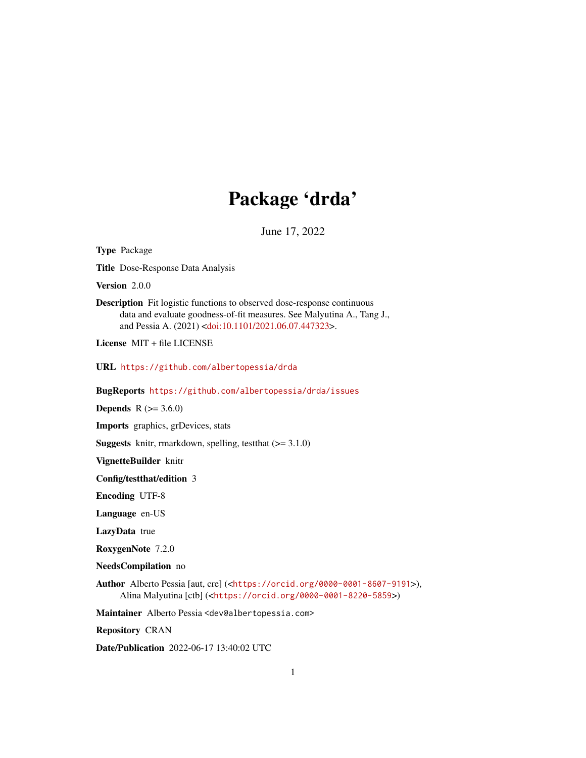# Package 'drda'

June 17, 2022

<span id="page-0-0"></span>Type Package Title Dose-Response Data Analysis Version 2.0.0 Description Fit logistic functions to observed dose-response continuous data and evaluate goodness-of-fit measures. See Malyutina A., Tang J., and Pessia A. (2021) [<doi:10.1101/2021.06.07.447323>](https://doi.org/10.1101/2021.06.07.447323). License MIT + file LICENSE URL <https://github.com/albertopessia/drda> BugReports <https://github.com/albertopessia/drda/issues> **Depends** R  $(>= 3.6.0)$ Imports graphics, grDevices, stats **Suggests** knitr, rmarkdown, spelling, test that  $(>= 3.1.0)$ VignetteBuilder knitr Config/testthat/edition 3 Encoding UTF-8 Language en-US LazyData true RoxygenNote 7.2.0 NeedsCompilation no Author Alberto Pessia [aut, cre] (<<https://orcid.org/0000-0001-8607-9191>>), Alina Malyutina [ctb] (<<https://orcid.org/0000-0001-8220-5859>>) Maintainer Alberto Pessia <dev@albertopessia.com> Repository CRAN Date/Publication 2022-06-17 13:40:02 UTC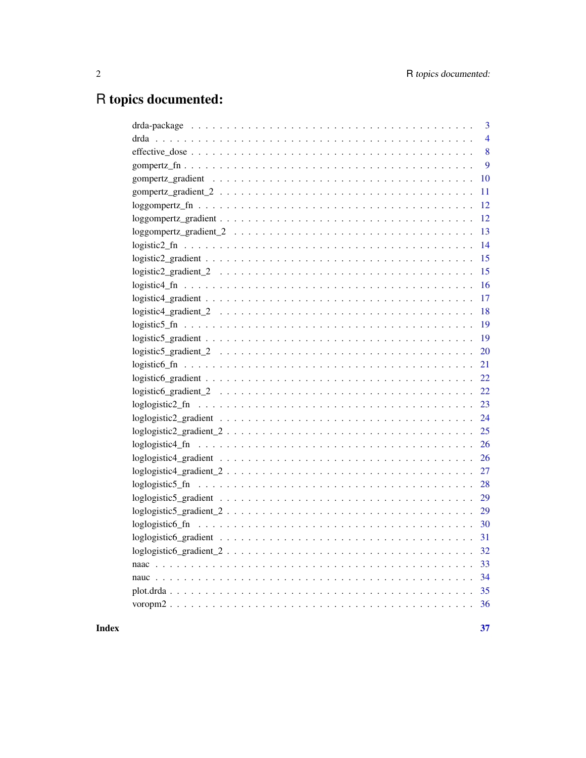# R topics documented:

| 3              |
|----------------|
| $\overline{4}$ |
| 8              |
| 9              |
| 10             |
| 11             |
| 12             |
| 12             |
| 13             |
| 14             |
| 15             |
| 15             |
| 16             |
| 17             |
| 18             |
| 19             |
| 19             |
| 20             |
| 21             |
| 22             |
| 22             |
| 23             |
| 24             |
| 25             |
| 26             |
| 26             |
| 27             |
| 28             |
| 29             |
| 29             |
| 30             |
| 31             |
|                |
|                |
|                |
|                |
|                |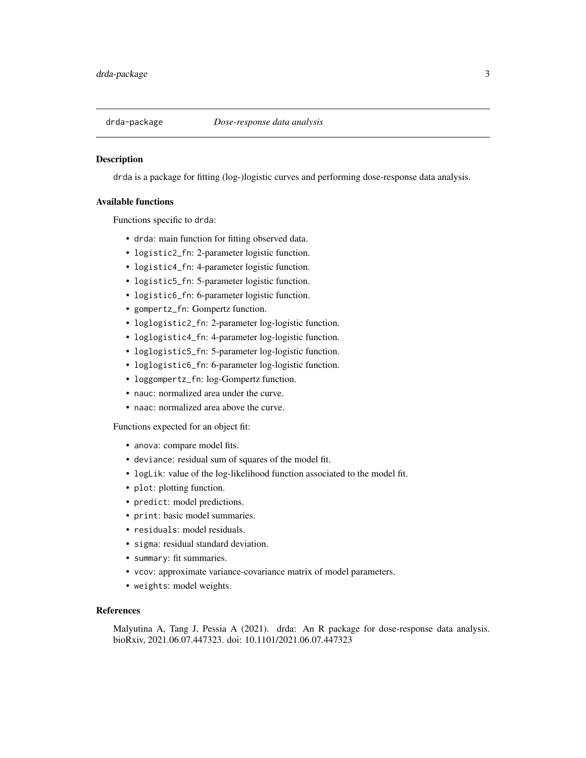<span id="page-2-0"></span>

# **Description**

drda is a package for fitting (log-)logistic curves and performing dose-response data analysis.

#### Available functions

Functions specific to drda:

- drda: main function for fitting observed data.
- logistic2\_fn: 2-parameter logistic function.
- logistic4\_fn: 4-parameter logistic function.
- logistic5\_fn: 5-parameter logistic function.
- logistic6\_fn: 6-parameter logistic function.
- gompertz\_fn: Gompertz function.
- loglogistic2\_fn: 2-parameter log-logistic function.
- loglogistic4\_fn: 4-parameter log-logistic function.
- loglogistic5\_fn: 5-parameter log-logistic function.
- loglogistic6\_fn: 6-parameter log-logistic function.
- loggompertz\_fn: log-Gompertz function.
- nauc: normalized area under the curve.
- naac: normalized area above the curve.

Functions expected for an object fit:

- anova: compare model fits.
- deviance: residual sum of squares of the model fit.
- logLik: value of the log-likelihood function associated to the model fit.
- plot: plotting function.
- predict: model predictions.
- print: basic model summaries.
- residuals: model residuals.
- sigma: residual standard deviation.
- summary: fit summaries.
- vcov: approximate variance-covariance matrix of model parameters.
- weights: model weights.

#### References

Malyutina A, Tang J, Pessia A (2021). drda: An R package for dose-response data analysis. bioRxiv, 2021.06.07.447323. doi: 10.1101/2021.06.07.447323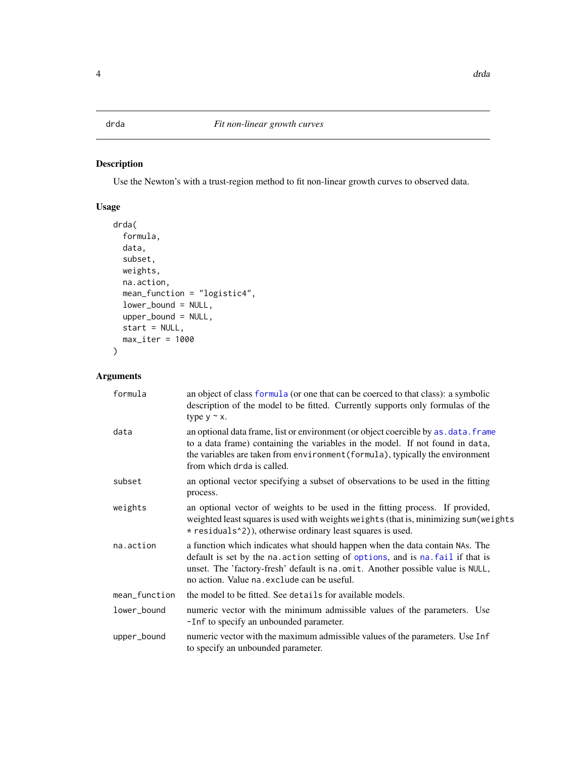# <span id="page-3-1"></span><span id="page-3-0"></span>Description

Use the Newton's with a trust-region method to fit non-linear growth curves to observed data.

# Usage

```
drda(
  formula,
 data,
  subset,
 weights,
 na.action,
 mean_function = "logistic4",
 lower_bound = NULL,
 upper_bound = NULL,
  start = NULL,
 max_iter = 1000
)
```
# Arguments

| formula       | an object of class formula (or one that can be coerced to that class): a symbolic<br>description of the model to be fitted. Currently supports only formulas of the<br>type $y \sim x$ .                                                                                                         |
|---------------|--------------------------------------------------------------------------------------------------------------------------------------------------------------------------------------------------------------------------------------------------------------------------------------------------|
| data          | an optional data frame, list or environment (or object coercible by as . data. frame<br>to a data frame) containing the variables in the model. If not found in data,<br>the variables are taken from environment (formula), typically the environment<br>from which drda is called.             |
| subset        | an optional vector specifying a subset of observations to be used in the fitting<br>process.                                                                                                                                                                                                     |
| weights       | an optional vector of weights to be used in the fitting process. If provided,<br>weighted least squares is used with weights weights (that is, minimizing sum (weights<br>* residuals <sup>1</sup> 2), otherwise ordinary least squares is used.                                                 |
| na.action     | a function which indicates what should happen when the data contain NAs. The<br>default is set by the na. action setting of options, and is na. fail if that is<br>unset. The 'factory-fresh' default is na.omit. Another possible value is NULL,<br>no action. Value na. exclude can be useful. |
| mean_function | the model to be fitted. See details for available models.                                                                                                                                                                                                                                        |
| lower_bound   | numeric vector with the minimum admissible values of the parameters. Use<br>-Inf to specify an unbounded parameter.                                                                                                                                                                              |
| upper_bound   | numeric vector with the maximum admissible values of the parameters. Use Inf<br>to specify an unbounded parameter.                                                                                                                                                                               |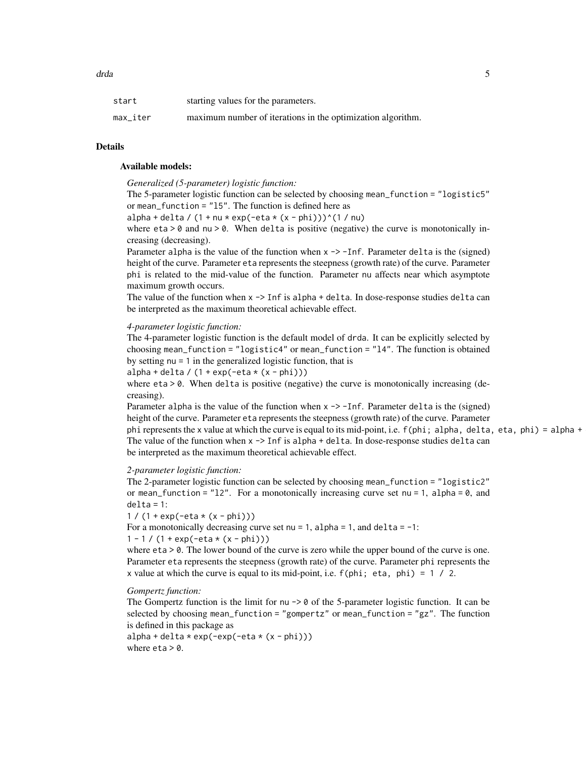| start    | starting values for the parameters.                         |
|----------|-------------------------------------------------------------|
| max iter | maximum number of iterations in the optimization algorithm. |

# Details

#### Available models:

*Generalized (5-parameter) logistic function:*

The 5-parameter logistic function can be selected by choosing mean\_function = "logistic5" or mean\_function = "l5". The function is defined here as

 $alpha + delta / (1 + nu * exp(-eta * (x - phi)))^(1 / nu)$ 

where  $eta > 0$  and  $nu > 0$ . When delta is positive (negative) the curve is monotonically increasing (decreasing).

Parameter alpha is the value of the function when  $x \rightarrow -I$ nf. Parameter delta is the (signed) height of the curve. Parameter eta represents the steepness (growth rate) of the curve. Parameter phi is related to the mid-value of the function. Parameter nu affects near which asymptote maximum growth occurs.

The value of the function when  $x \rightarrow$  Inf is alpha + delta. In dose-response studies delta can be interpreted as the maximum theoretical achievable effect.

#### *4-parameter logistic function:*

The 4-parameter logistic function is the default model of drda. It can be explicitly selected by choosing mean\_function = "logistic4" or mean\_function = "l4". The function is obtained by setting nu = 1 in the generalized logistic function, that is

 $alpha + delta / (1 + exp(-eta * (x - phi)))$ 

where eta > 0. When delta is positive (negative) the curve is monotonically increasing (decreasing).

Parameter alpha is the value of the function when  $x \rightarrow -I$ nf. Parameter delta is the (signed) height of the curve. Parameter eta represents the steepness (growth rate) of the curve. Parameter phi represents the x value at which the curve is equal to its mid-point, i.e.  $f(\text{phi}; \text{alpha}, \text{delta}, \text{data}, \text{phi}) = \text{alpha} + \text{alpha}$ The value of the function when  $x \rightarrow$  Inf is alpha + delta. In dose-response studies delta can be interpreted as the maximum theoretical achievable effect.

#### *2-parameter logistic function:*

The 2-parameter logistic function can be selected by choosing mean\_function = "logistic2" or mean\_function = "12". For a monotonically increasing curve set nu = 1, alpha =  $\theta$ , and  $delta = 1$ :

1 /  $(1 + \exp(-eta * (x - phi)))$ 

For a monotonically decreasing curve set  $nu = 1$ , alpha = 1, and delta = -1:

 $1 - 1 / (1 + \exp(-eta * (x - phi)))$ 

where  $eta > 0$ . The lower bound of the curve is zero while the upper bound of the curve is one. Parameter eta represents the steepness (growth rate) of the curve. Parameter phi represents the x value at which the curve is equal to its mid-point, i.e.  $f(\text{phi}; \text{eta}, \text{phi}) = 1 / 2$ .

#### *Gompertz function:*

The Gompertz function is the limit for nu  $\rightarrow$  0 of the 5-parameter logistic function. It can be selected by choosing mean\_function = "gompertz" or mean\_function = "gz". The function is defined in this package as

 $alpha + delta * exp(-exp(-eta * (x - phi)))$ where  $eta > 0$ .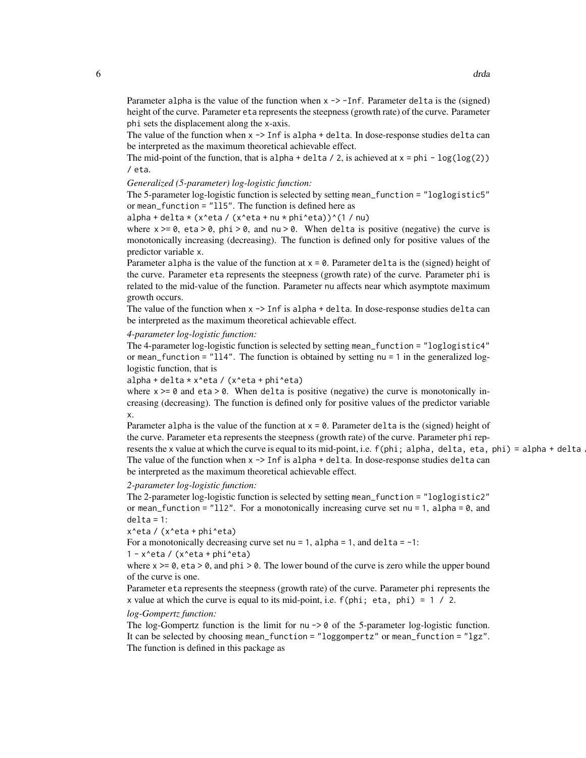Parameter alpha is the value of the function when  $x \rightarrow -I$ nf. Parameter delta is the (signed) height of the curve. Parameter eta represents the steepness (growth rate) of the curve. Parameter phi sets the displacement along the x-axis.

The value of the function when  $x \rightarrow$  Inf is alpha + delta. In dose-response studies delta can be interpreted as the maximum theoretical achievable effect.

The mid-point of the function, that is alpha + delta / 2, is achieved at  $x = phi - log(log(2))$ / eta.

# *Generalized (5-parameter) log-logistic function:*

The 5-parameter log-logistic function is selected by setting mean\_function = "loglogistic5" or mean\_function = "ll5". The function is defined here as

alpha + delta \* (x^eta / (x^eta + nu \* phi^eta))^(1 / nu)

where  $x \ge 0$ , eta  $> 0$ , phi  $> 0$ , and nu  $> 0$ . When delta is positive (negative) the curve is monotonically increasing (decreasing). The function is defined only for positive values of the predictor variable x.

Parameter alpha is the value of the function at  $x = 0$ . Parameter delta is the (signed) height of the curve. Parameter eta represents the steepness (growth rate) of the curve. Parameter phi is related to the mid-value of the function. Parameter nu affects near which asymptote maximum growth occurs.

The value of the function when  $x \rightarrow$  Inf is alpha + delta. In dose-response studies delta can be interpreted as the maximum theoretical achievable effect.

# *4-parameter log-logistic function:*

The 4-parameter log-logistic function is selected by setting mean\_function = "loglogistic4" or mean\_function = "ll4". The function is obtained by setting nu = 1 in the generalized loglogistic function, that is

alpha + delta \* x^eta / (x^eta + phi^eta)

where  $x \ge 0$  and eta  $> 0$ . When delta is positive (negative) the curve is monotonically increasing (decreasing). The function is defined only for positive values of the predictor variable x.

Parameter alpha is the value of the function at  $x = 0$ . Parameter delta is the (signed) height of the curve. Parameter eta represents the steepness (growth rate) of the curve. Parameter phi represents the x value at which the curve is equal to its mid-point, i.e.  $f(\text{phi}; \text{alpha}, \text{delta}, \text{data}, \text{phi}) = \text{alpha} + \text{delta} + \text{delta}$ The value of the function when  $x \rightarrow$  Inf is alpha + delta. In dose-response studies delta can be interpreted as the maximum theoretical achievable effect.

*2-parameter log-logistic function:*

The 2-parameter log-logistic function is selected by setting mean\_function = "loglogistic2" or mean\_function = " $112$ ". For a monotonically increasing curve set nu = 1, alpha = 0, and  $delta = 1$ :

x^eta / (x^eta + phi^eta)

For a monotonically decreasing curve set  $nu = 1$ , alpha = 1, and delta = -1:

 $1 - x$ <sup>o</sup>eta / (x<sup>o</sup>eta + phi<sup>o</sup>eta)

where  $x \ge 0$ , eta  $> 0$ , and phi  $> 0$ . The lower bound of the curve is zero while the upper bound of the curve is one.

Parameter eta represents the steepness (growth rate) of the curve. Parameter phi represents the x value at which the curve is equal to its mid-point, i.e.  $f(\text{phi}; \text{eta}, \text{phi}) = 1 / 2$ .

#### *log-Gompertz function:*

The log-Gompertz function is the limit for  $nu \rightarrow 0$  of the 5-parameter log-logistic function. It can be selected by choosing mean\_function = "loggompertz" or mean\_function = "lgz". The function is defined in this package as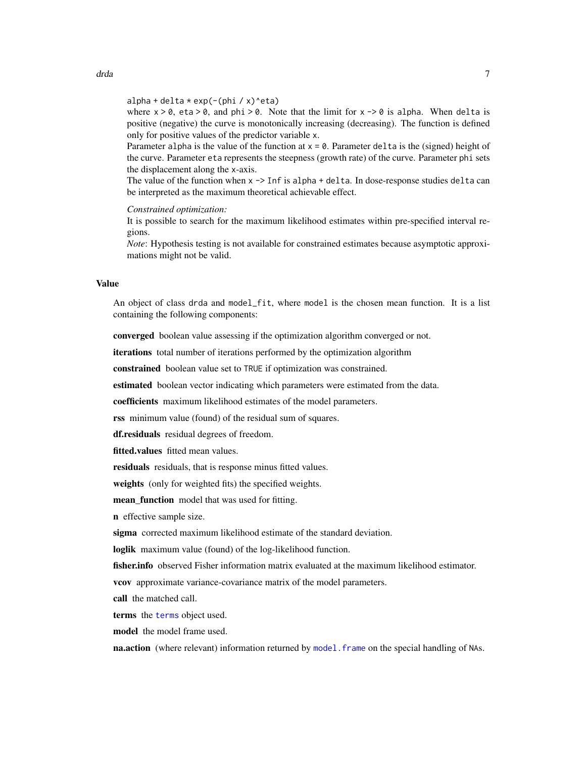<span id="page-6-0"></span> $alpha + delta * exp(-(\pi h i / x)^{\text{def}})$ 

where  $x > 0$ , eta  $> 0$ , and phi  $> 0$ . Note that the limit for  $x \rightarrow 0$  is alpha. When delta is positive (negative) the curve is monotonically increasing (decreasing). The function is defined only for positive values of the predictor variable x.

Parameter alpha is the value of the function at  $x = 0$ . Parameter delta is the (signed) height of the curve. Parameter eta represents the steepness (growth rate) of the curve. Parameter phi sets the displacement along the x-axis.

The value of the function when  $x \rightarrow$  Inf is alpha + delta. In dose-response studies delta can be interpreted as the maximum theoretical achievable effect.

*Constrained optimization:*

It is possible to search for the maximum likelihood estimates within pre-specified interval regions.

*Note*: Hypothesis testing is not available for constrained estimates because asymptotic approximations might not be valid.

# Value

An object of class drda and model\_fit, where model is the chosen mean function. It is a list containing the following components:

converged boolean value assessing if the optimization algorithm converged or not.

iterations total number of iterations performed by the optimization algorithm

constrained boolean value set to TRUE if optimization was constrained.

estimated boolean vector indicating which parameters were estimated from the data.

coefficients maximum likelihood estimates of the model parameters.

rss minimum value (found) of the residual sum of squares.

df.residuals residual degrees of freedom.

fitted.values fitted mean values.

residuals residuals, that is response minus fitted values.

weights (only for weighted fits) the specified weights.

mean\_function model that was used for fitting.

n effective sample size.

sigma corrected maximum likelihood estimate of the standard deviation.

loglik maximum value (found) of the log-likelihood function.

**fisher.info** observed Fisher information matrix evaluated at the maximum likelihood estimator.

vcov approximate variance-covariance matrix of the model parameters.

call the matched call.

terms the [terms](#page-0-0) object used.

model the model frame used.

**na.action** (where relevant) information returned by model. frame on the special handling of NAs.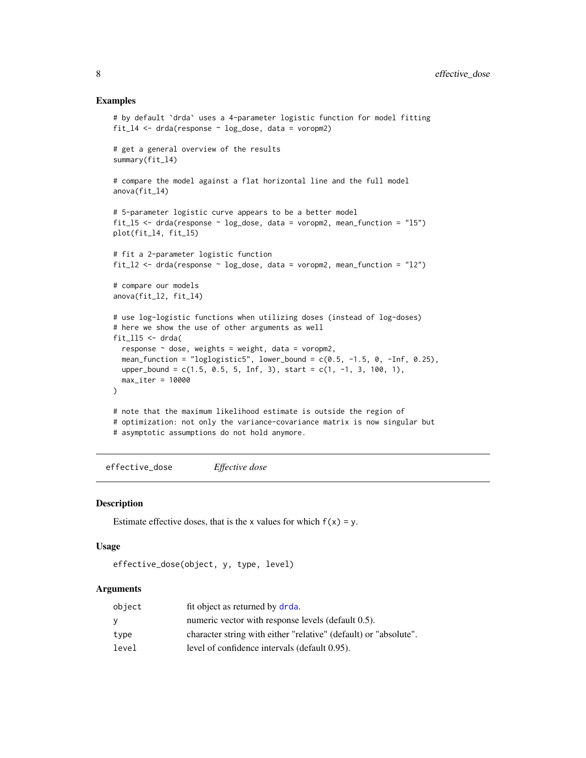# Examples

```
# by default `drda` uses a 4-parameter logistic function for model fitting
fit14 <- drda(response ~ log_dose, data = voropm2)
# get a general overview of the results
summary(fit_l4)
# compare the model against a flat horizontal line and the full model
anova(fit_l4)
# 5-parameter logistic curve appears to be a better model
fit_l5 <- drda(response ~ log_dose, data = voropm2, mean_function = "l5")
plot(fit_l4, fit_l5)
# fit a 2-parameter logistic function
fit<sub>12</sub> \le drda(response \sim log<sub>1</sub>dose, data = voropm2, mean<sub>1</sub>function = "12")
# compare our models
anova(fit_l2, fit_l4)
# use log-logistic functions when utilizing doses (instead of log-doses)
# here we show the use of other arguments as well
fit\_115 \leq - drda(
 response \sim dose, weights = weight, data = voropm2,
 mean_function = "loglogistic5", lower_bound = c(0.5, -1.5, 0, -Inf, 0.25),
 upper_bound = c(1.5, 0.5, 5, Inf, 3), start = c(1, -1, 3, 100, 1),
 max_iter = 10000
)
# note that the maximum likelihood estimate is outside the region of
# optimization: not only the variance-covariance matrix is now singular but
# asymptotic assumptions do not hold anymore.
```
effective\_dose *Effective dose*

# Description

Estimate effective doses, that is the x values for which  $f(x) = y$ .

#### Usage

```
effective_dose(object, y, type, level)
```
# Arguments

| object | fit object as returned by drda.                                  |
|--------|------------------------------------------------------------------|
| v.     | numeric vector with response levels (default 0.5).               |
| type   | character string with either "relative" (default) or "absolute". |
| level  | level of confidence intervals (default 0.95).                    |

<span id="page-7-0"></span>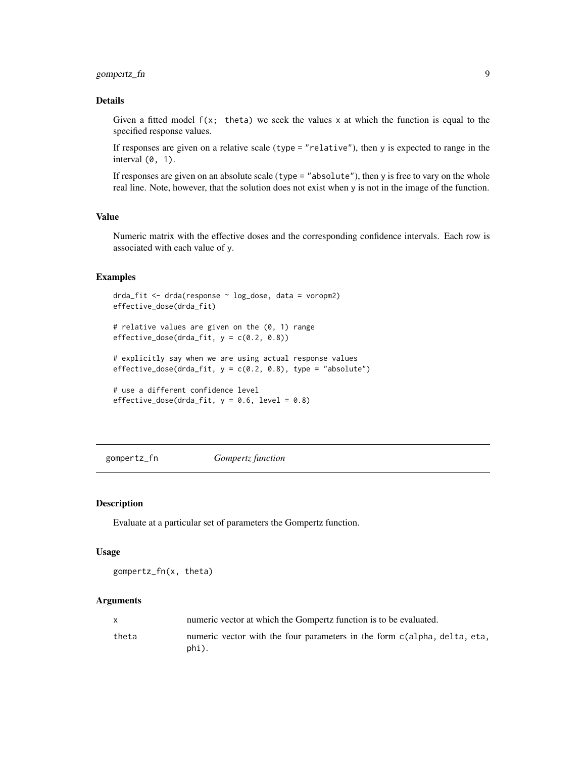# <span id="page-8-0"></span>gompertz\_fn 9

# Details

Given a fitted model  $f(x;$  theta) we seek the values x at which the function is equal to the specified response values.

If responses are given on a relative scale (type = "relative"), then y is expected to range in the interval  $(0, 1)$ .

If responses are given on an absolute scale (type = "absolute"), then y is free to vary on the whole real line. Note, however, that the solution does not exist when y is not in the image of the function.

# Value

Numeric matrix with the effective doses and the corresponding confidence intervals. Each row is associated with each value of y.

# Examples

```
drda_fit <- drda(response ~ log_dose, data = voropm2)
effective_dose(drda_fit)
```

```
# relative values are given on the (0, 1) range
effective\_dose(drda\_fit, y = c(0.2, 0.8))
```

```
# explicitly say when we are using actual response values
effective_dose(drda_fit, y = c(0.2, 0.8), type = "absolute")
```

```
# use a different confidence level
effective_dose(drda_fit, y = 0.6, level = 0.8)
```
gompertz\_fn *Gompertz function*

#### Description

Evaluate at a particular set of parameters the Gompertz function.

# Usage

gompertz\_fn(x, theta)

### Arguments

| X     | numeric vector at which the Gompertz function is to be evaluated.                 |
|-------|-----------------------------------------------------------------------------------|
| theta | numeric vector with the four parameters in the form c(alpha, delta, eta,<br>phi). |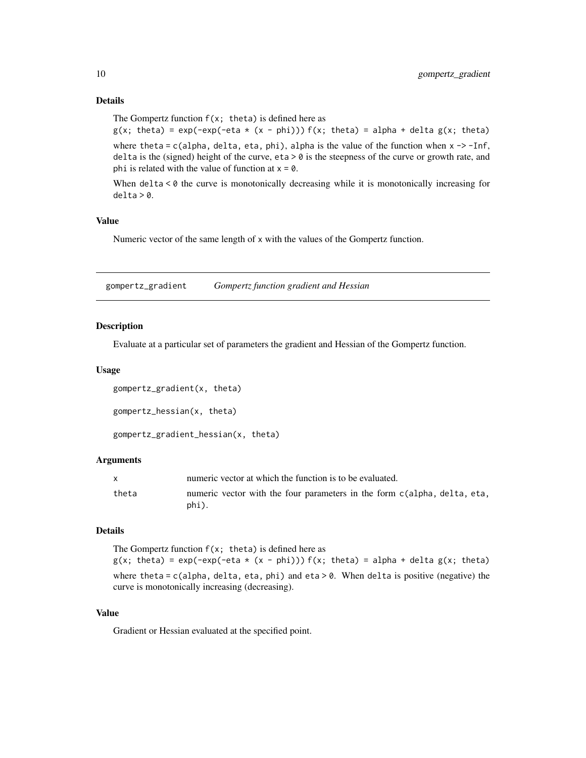```
The Gompertz function f(x; \theta) is defined here as
g(x; \theta) = \exp(-\exp(-\theta x + (x - \phi) - \theta)) f(x; \theta) = \theta x + \theta y + \theta y + \theta zwhere theta = c(alpha, delta, eta, phi), alpha is the value of the function when x \rightarrow -Inf,
delta is the (signed) height of the curve, eta > 0 is the steepness of the curve or growth rate, and
phi is related with the value of function at x = 0.
```
When  $delta < 0$  the curve is monotonically decreasing while it is monotonically increasing for  $delta > 0$ .

# Value

Numeric vector of the same length of x with the values of the Gompertz function.

gompertz\_gradient *Gompertz function gradient and Hessian*

# Description

Evaluate at a particular set of parameters the gradient and Hessian of the Gompertz function.

#### Usage

```
gompertz_gradient(x, theta)
gompertz_hessian(x, theta)
gompertz_gradient_hessian(x, theta)
```
# Arguments

|       | numeric vector at which the function is to be evaluated.                          |
|-------|-----------------------------------------------------------------------------------|
| theta | numeric vector with the four parameters in the form c(alpha, delta, eta,<br>phi). |

# Details

The Gompertz function  $f(x; t)$  theta) is defined here as  $g(x; \theta) = \exp(-\exp(-\theta x + (x - \phi) - \theta)) f(x; \theta) = \sin(\theta x + \theta)$  alpha + delta  $g(x; \theta)$ where theta =  $c$ (alpha, delta, eta, phi) and eta > 0. When delta is positive (negative) the curve is monotonically increasing (decreasing).

# Value

Gradient or Hessian evaluated at the specified point.

<span id="page-9-0"></span>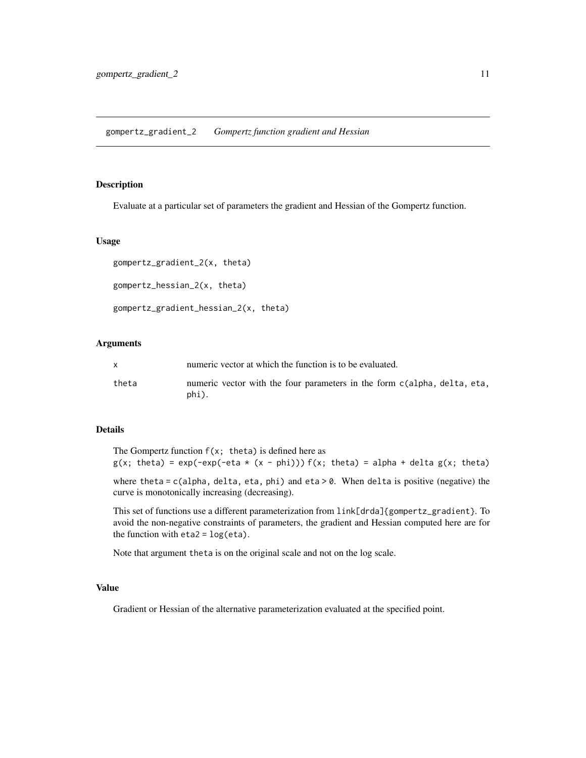# <span id="page-10-0"></span>Description

Evaluate at a particular set of parameters the gradient and Hessian of the Gompertz function.

# Usage

```
gompertz_gradient_2(x, theta)
gompertz_hessian_2(x, theta)
gompertz_gradient_hessian_2(x, theta)
```
# Arguments

|       | numeric vector at which the function is to be evaluated.                          |
|-------|-----------------------------------------------------------------------------------|
| theta | numeric vector with the four parameters in the form c(alpha, delta, eta,<br>phi). |

# Details

The Gompertz function  $f(x; \theta)$  is defined here as  $g(x; \theta) = \exp(-\exp(-\theta x + (x - \phi) - \theta)) f(x; \theta) = \sin(\theta x + \theta)$  + delta  $g(x; \theta)$  theta)

where theta =  $c$ (alpha, delta, eta, phi) and eta > 0. When delta is positive (negative) the curve is monotonically increasing (decreasing).

This set of functions use a different parameterization from link[drda]{gompertz\_gradient}. To avoid the non-negative constraints of parameters, the gradient and Hessian computed here are for the function with  $eta2 = log(\eta)$ .

Note that argument theta is on the original scale and not on the log scale.

#### Value

Gradient or Hessian of the alternative parameterization evaluated at the specified point.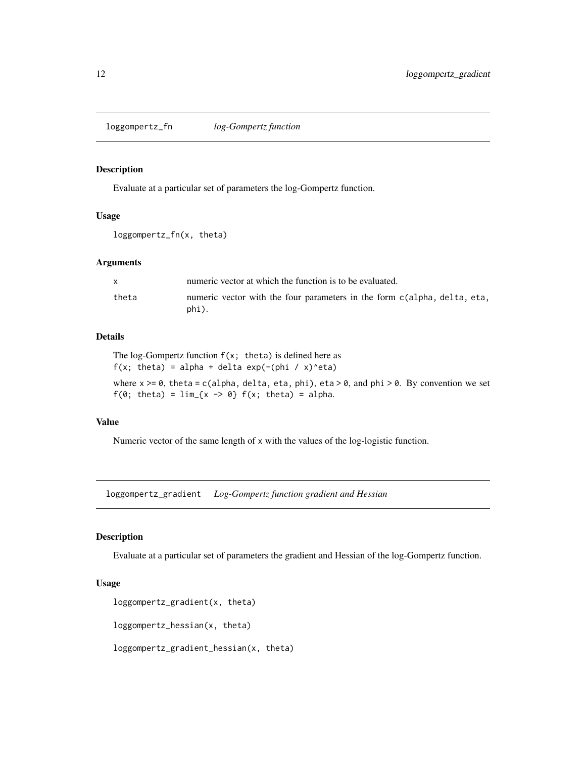<span id="page-11-0"></span>loggompertz\_fn *log-Gompertz function*

# Description

Evaluate at a particular set of parameters the log-Gompertz function.

# Usage

```
loggompertz_fn(x, theta)
```
# Arguments

|       | numeric vector at which the function is to be evaluated.                          |
|-------|-----------------------------------------------------------------------------------|
| theta | numeric vector with the four parameters in the form c(alpha, delta, eta,<br>phi). |

# Details

The log-Gompertz function  $f(x; \theta)$  is defined here as  $f(x; \text{theta}) = \text{alpha} + \text{delta} \exp(-(\text{phi} / x)^{2} \text{eta})$ where  $x \ge 0$ , theta = c(alpha, delta, eta, phi), eta > 0, and phi > 0. By convention we set

 $f(0; \text{theta}) = \lim_{x \to \infty} \{x \rightarrow 0\} f(x; \text{theta}) = \text{alpha}.$ 

# Value

Numeric vector of the same length of x with the values of the log-logistic function.

loggompertz\_gradient *Log-Gompertz function gradient and Hessian*

# Description

Evaluate at a particular set of parameters the gradient and Hessian of the log-Gompertz function.

# Usage

```
loggompertz_gradient(x, theta)
```

```
loggompertz_hessian(x, theta)
```
loggompertz\_gradient\_hessian(x, theta)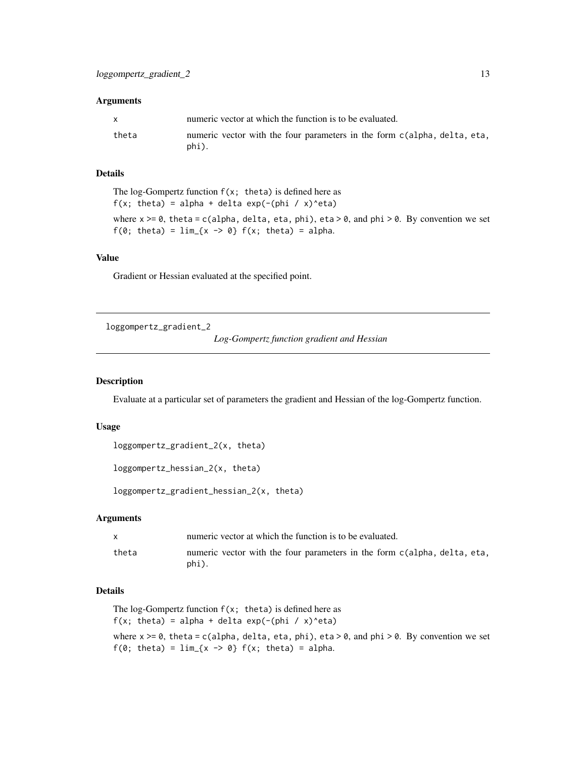#### <span id="page-12-0"></span>Arguments

| $\mathsf{x}$ | numeric vector at which the function is to be evaluated.                          |
|--------------|-----------------------------------------------------------------------------------|
| theta        | numeric vector with the four parameters in the form c(alpha, delta, eta,<br>phi). |

# Details

The log-Gompertz function  $f(x; t)$  the ta) is defined here as  $f(x; theta) = alpha + delta exp(-(phi / x)^{eta})$ where  $x \ge 0$ , theta = c(alpha, delta, eta, phi), eta > 0, and phi > 0. By convention we set  $f(0; \text{ theta}) = \lim_{x \to \infty} \{x \rightarrow 0\} f(x; \text{ theta}) = \text{alpha}.$ 

# Value

Gradient or Hessian evaluated at the specified point.

loggompertz\_gradient\_2

```
Log-Gompertz function gradient and Hessian
```
#### Description

Evaluate at a particular set of parameters the gradient and Hessian of the log-Gompertz function.

# Usage

```
loggompertz_gradient_2(x, theta)
```

```
loggompertz_hessian_2(x, theta)
```
loggompertz\_gradient\_hessian\_2(x, theta)

### Arguments

|       | numeric vector at which the function is to be evaluated.                          |
|-------|-----------------------------------------------------------------------------------|
| theta | numeric vector with the four parameters in the form c(alpha, delta, eta,<br>phi). |

# Details

```
The log-Gompertz function f(x; t) the ta) is defined here as
f(x; \text{theta}) = \text{alpha} + \text{delta} \exp(-(\text{phi} / x)^{2} \text{eta})where x \ge 0, theta = c(alpha, delta, eta, phi), eta > 0, and phi > 0. By convention we set
f(0; \text{theta}) = \lim_{x \to \infty} x \to 0 f(x; \text{theta}) = \text{alpha}.
```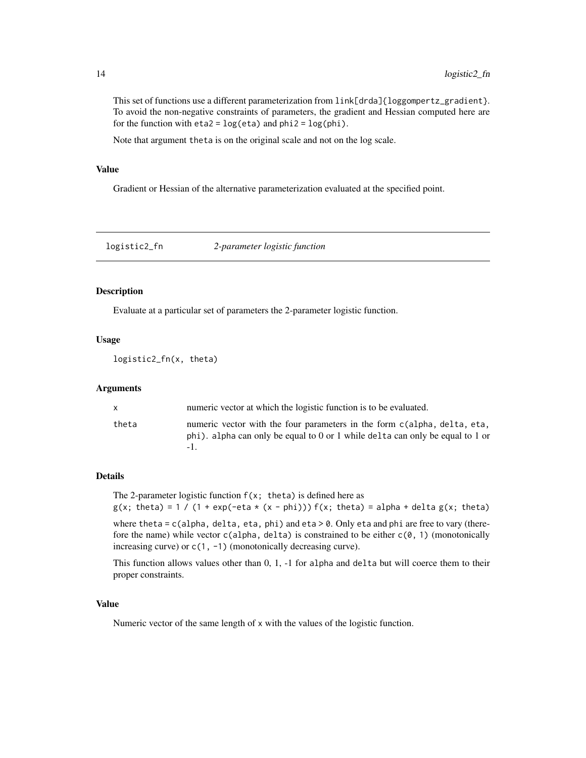This set of functions use a different parameterization from  $link[drda]{loggompertz\_gradient}$ . To avoid the non-negative constraints of parameters, the gradient and Hessian computed here are for the function with  $eta2 = log(tta)$  and  $phi2 = log(phi)$ .

Note that argument theta is on the original scale and not on the log scale.

# Value

Gradient or Hessian of the alternative parameterization evaluated at the specified point.

logistic2\_fn *2-parameter logistic function*

# Description

Evaluate at a particular set of parameters the 2-parameter logistic function.

#### Usage

```
logistic2_fn(x, theta)
```
## Arguments

| X     | numeric vector at which the logistic function is to be evaluated.                                                                                         |
|-------|-----------------------------------------------------------------------------------------------------------------------------------------------------------|
| theta | numeric vector with the four parameters in the form c(alpha, delta, eta,<br>phi). alpha can only be equal to 0 or 1 while delta can only be equal to 1 or |

#### Details

The 2-parameter logistic function  $f(x;$  theta) is defined here as  $g(x; \theta) = 1 / (1 + \exp(-\theta) + \exp(-\theta))$  f(x; theta) = alpha + delta  $g(x; \theta)$ 

where theta = c(alpha, delta, eta, phi) and eta > 0. Only eta and phi are free to vary (therefore the name) while vector  $c$ (alpha, delta) is constrained to be either  $c$ (0, 1) (monotonically increasing curve) or c(1, -1) (monotonically decreasing curve).

This function allows values other than 0, 1, -1 for alpha and delta but will coerce them to their proper constraints.

# Value

Numeric vector of the same length of x with the values of the logistic function.

<span id="page-13-0"></span>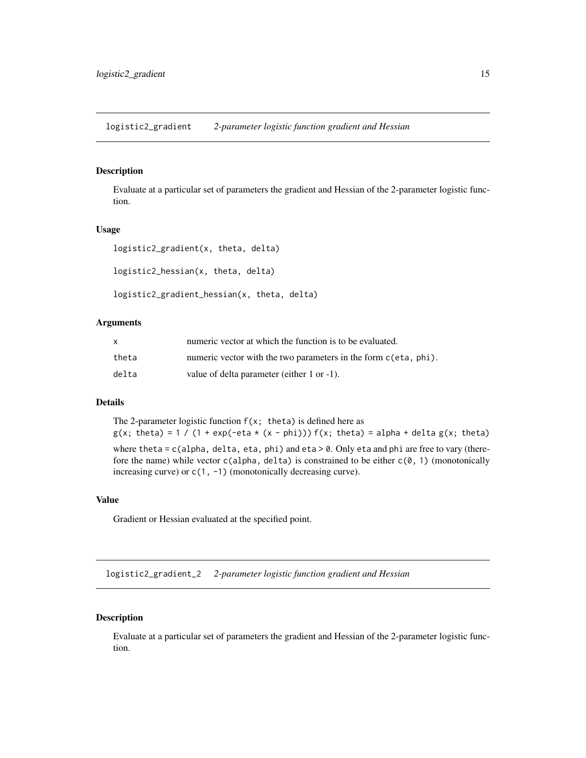<span id="page-14-0"></span>logistic2\_gradient *2-parameter logistic function gradient and Hessian*

#### Description

Evaluate at a particular set of parameters the gradient and Hessian of the 2-parameter logistic function.

#### Usage

```
logistic2_gradient(x, theta, delta)
logistic2_hessian(x, theta, delta)
logistic2_gradient_hessian(x, theta, delta)
```
#### Arguments

| X     | numeric vector at which the function is to be evaluated.        |
|-------|-----------------------------------------------------------------|
| theta | numeric vector with the two parameters in the form c(eta, phi). |
| delta | value of delta parameter (either 1 or -1).                      |

# Details

The 2-parameter logistic function  $f(x; t)$  theta) is defined here as  $g(x; \theta) = 1 / (1 + \exp(-\theta t \cdot x - \phi h))) f(x; \theta) = \alpha \cdot \theta + \theta \cdot \theta$  + delta  $g(x; \theta)$ where theta =  $c$ (alpha, delta, eta, phi) and eta > 0. Only eta and phi are free to vary (therefore the name) while vector  $c($ alpha, delta) is constrained to be either  $c(0, 1)$  (monotonically

# Value

Gradient or Hessian evaluated at the specified point.

increasing curve) or  $c(1, -1)$  (monotonically decreasing curve).

logistic2\_gradient\_2 *2-parameter logistic function gradient and Hessian*

# Description

Evaluate at a particular set of parameters the gradient and Hessian of the 2-parameter logistic function.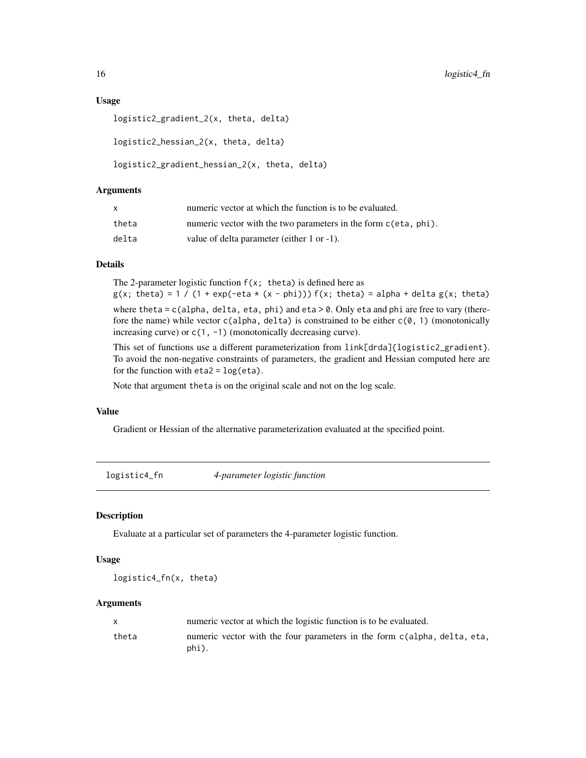### <span id="page-15-0"></span>Usage

```
logistic2_gradient_2(x, theta, delta)
logistic2_hessian_2(x, theta, delta)
logistic2_gradient_hessian_2(x, theta, delta)
```
# Arguments

| x     | numeric vector at which the function is to be evaluated.        |
|-------|-----------------------------------------------------------------|
| theta | numeric vector with the two parameters in the form c(eta, phi). |
| delta | value of delta parameter (either 1 or -1).                      |

#### Details

The 2-parameter logistic function  $f(x; \theta)$  is defined here as  $g(x; \theta) = 1 / (1 + \exp(-\theta t + \theta x))$  f(x; theta) = alpha + delta  $g(x; \theta)$ where theta =  $c$ (alpha, delta, eta, phi) and eta > 0. Only eta and phi are free to vary (therefore the name) while vector  $c($ alpha, delta) is constrained to be either  $c(0, 1)$  (monotonically increasing curve) or  $c(1, -1)$  (monotonically decreasing curve).

This set of functions use a different parameterization from link[drda]{logistic2\_gradient}. To avoid the non-negative constraints of parameters, the gradient and Hessian computed here are for the function with  $eta2 = log(\eta)$ .

Note that argument theta is on the original scale and not on the log scale.

# Value

Gradient or Hessian of the alternative parameterization evaluated at the specified point.

logistic4\_fn *4-parameter logistic function*

# Description

Evaluate at a particular set of parameters the 4-parameter logistic function.

# Usage

logistic4\_fn(x, theta)

# Arguments

|       | numeric vector at which the logistic function is to be evaluated.                 |
|-------|-----------------------------------------------------------------------------------|
| theta | numeric vector with the four parameters in the form c(alpha, delta, eta,<br>phi). |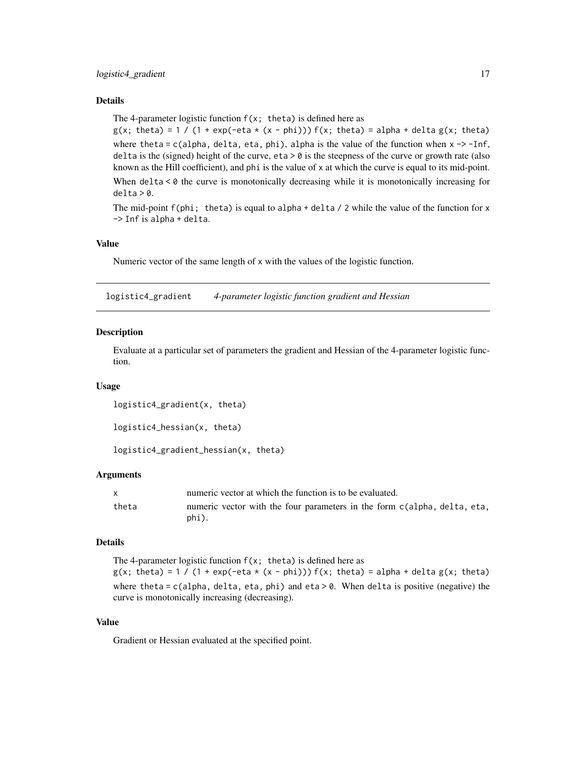# <span id="page-16-0"></span>Details

The 4-parameter logistic function  $f(x; \theta)$  is defined here as

 $g(x; \text{ theta}) = 1 / (1 + \exp(-\text{eta} \times (x - \text{phi}))) f(x; \text{ theta}) = \text{alpha} + \text{delta} g(x; \text{ theta})$ where theta =  $c$ (alpha, delta, eta, phi), alpha is the value of the function when  $x \rightarrow -Inf$ , delta is the (signed) height of the curve, eta  $> 0$  is the steepness of the curve or growth rate (also known as the Hill coefficient), and phi is the value of x at which the curve is equal to its mid-point.

When delta < 0 the curve is monotonically decreasing while it is monotonically increasing for  $delta > 0$ .

The mid-point  $f(\phi h)$ ; theta) is equal to alpha + delta / 2 while the value of the function for x -> Inf is alpha + delta.

# Value

Numeric vector of the same length of x with the values of the logistic function.

logistic4\_gradient *4-parameter logistic function gradient and Hessian*

# Description

Evaluate at a particular set of parameters the gradient and Hessian of the 4-parameter logistic function.

#### Usage

logistic4\_gradient(x, theta)

```
logistic4_hessian(x, theta)
```

```
logistic4_gradient_hessian(x, theta)
```
# Arguments

| $\mathsf{x}$ | numeric vector at which the function is to be evaluated.                          |
|--------------|-----------------------------------------------------------------------------------|
| theta        | numeric vector with the four parameters in the form c(alpha, delta, eta,<br>phi). |

# Details

The 4-parameter logistic function  $f(x; t)$  theta) is defined here as  $g(x; \theta) = 1 / (1 + \exp(-\theta t + (x - \theta) - \theta)) f(x; \theta) = \theta t + \theta t + \theta t$  = alpha + delta  $g(x; \theta)$ where theta =  $c$ (alpha, delta, eta, phi) and eta > 0. When delta is positive (negative) the curve is monotonically increasing (decreasing).

# Value

Gradient or Hessian evaluated at the specified point.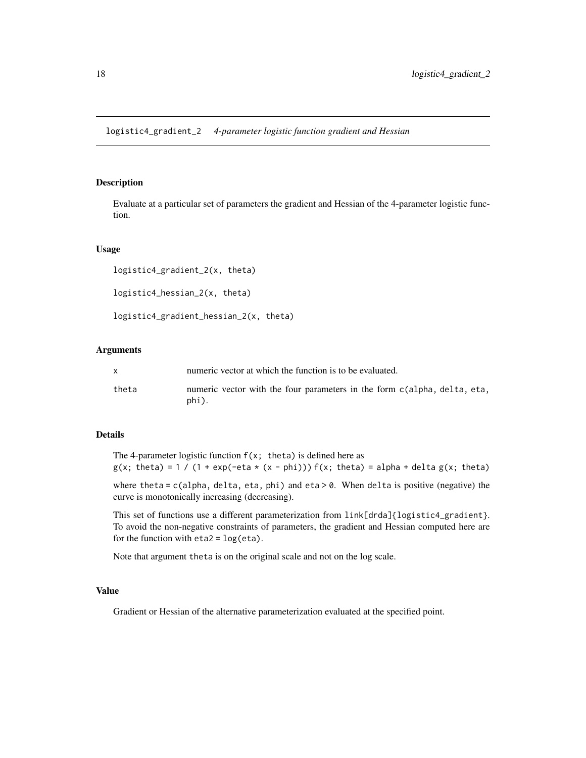<span id="page-17-0"></span>logistic4\_gradient\_2 *4-parameter logistic function gradient and Hessian*

#### Description

Evaluate at a particular set of parameters the gradient and Hessian of the 4-parameter logistic function.

# Usage

```
logistic4_gradient_2(x, theta)
logistic4_hessian_2(x, theta)
```
logistic4\_gradient\_hessian\_2(x, theta)

# Arguments

|       | numeric vector at which the function is to be evaluated.                          |
|-------|-----------------------------------------------------------------------------------|
| theta | numeric vector with the four parameters in the form c(alpha, delta, eta,<br>phi). |

### Details

The 4-parameter logistic function  $f(x; \theta)$  is defined here as  $g(x; \theta) = 1 / (1 + \exp(-\theta t + (x - \theta) - \theta)) f(x; \theta) = \theta e^{-\theta t}$  + delta  $g(x; \theta)$  theta)

where theta =  $c$ (alpha, delta, eta, phi) and eta > 0. When delta is positive (negative) the curve is monotonically increasing (decreasing).

This set of functions use a different parameterization from link[drda]{logistic4\_gradient}. To avoid the non-negative constraints of parameters, the gradient and Hessian computed here are for the function with  $eta2 = log(\eta)$ .

Note that argument theta is on the original scale and not on the log scale.

# Value

Gradient or Hessian of the alternative parameterization evaluated at the specified point.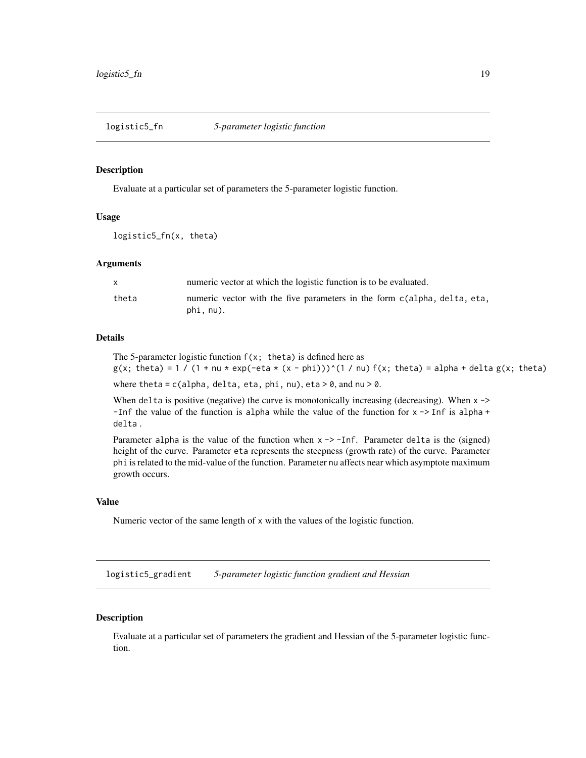<span id="page-18-0"></span>

# Description

Evaluate at a particular set of parameters the 5-parameter logistic function.

# Usage

```
logistic5_fn(x, theta)
```
# Arguments

|       | numeric vector at which the logistic function is to be evaluated.                     |
|-------|---------------------------------------------------------------------------------------|
| theta | numeric vector with the five parameters in the form c(alpha, delta, eta,<br>phi, nu). |

# Details

The 5-parameter logistic function  $f(x; \theta)$  is defined here as  $g(x; \text{ theta}) = 1 / (1 + nu * exp(-eta * (x - phi)))^(1 / nu) f(x; \text{ theta}) = alpha + delta g(x; \text{ theta})$ 

where theta =  $c$ (alpha, delta, eta, phi, nu), eta > 0, and nu > 0.

When delta is positive (negative) the curve is monotonically increasing (decreasing). When  $x \rightarrow$ -Inf the value of the function is alpha while the value of the function for  $x \rightarrow$  Inf is alpha + delta .

Parameter alpha is the value of the function when  $x \rightarrow -1$  of. Parameter delta is the (signed) height of the curve. Parameter eta represents the steepness (growth rate) of the curve. Parameter phi is related to the mid-value of the function. Parameter nu affects near which asymptote maximum growth occurs.

#### Value

Numeric vector of the same length of x with the values of the logistic function.

logistic5\_gradient *5-parameter logistic function gradient and Hessian*

#### Description

Evaluate at a particular set of parameters the gradient and Hessian of the 5-parameter logistic function.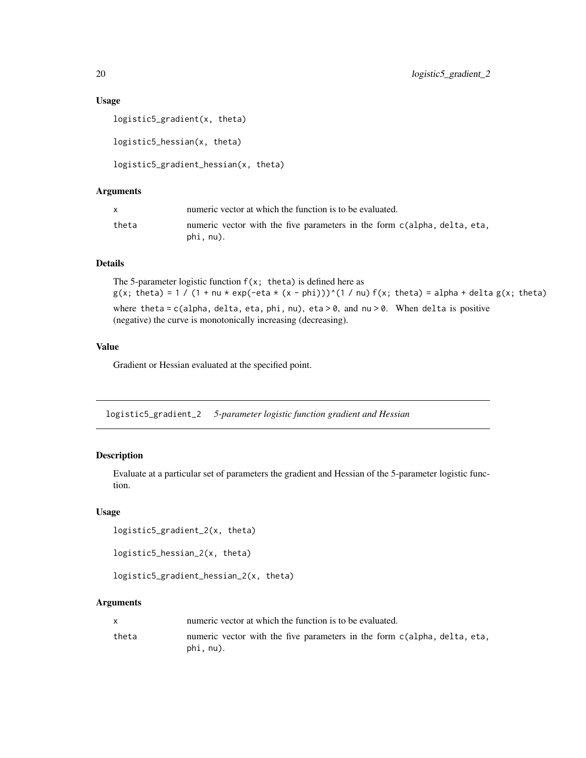# <span id="page-19-0"></span>Usage

```
logistic5_gradient(x, theta)
logistic5_hessian(x, theta)
logistic5_gradient_hessian(x, theta)
```
# Arguments

|       | numeric vector at which the function is to be evaluated.                              |
|-------|---------------------------------------------------------------------------------------|
| theta | numeric vector with the five parameters in the form c(alpha, delta, eta,<br>phi, nu). |

# Details

The 5-parameter logistic function  $f(x; \theta)$  is defined here as  $g(x; \theta) = 1 / (1 + nu \cdot exp(-eta \cdot (x - phi)))^{\alpha}(1 / nu) f(x; \theta) = alpha + delta g(x; \theta)$ where theta =  $c$ (alpha, delta, eta, phi, nu), eta > 0, and nu > 0. When delta is positive (negative) the curve is monotonically increasing (decreasing).

# Value

Gradient or Hessian evaluated at the specified point.

logistic5\_gradient\_2 *5-parameter logistic function gradient and Hessian*

# Description

Evaluate at a particular set of parameters the gradient and Hessian of the 5-parameter logistic function.

#### Usage

```
logistic5_gradient_2(x, theta)
```
logistic5\_hessian\_2(x, theta)

```
logistic5_gradient_hessian_2(x, theta)
```
# Arguments

|       | numeric vector at which the function is to be evaluated.                              |
|-------|---------------------------------------------------------------------------------------|
| theta | numeric vector with the five parameters in the form c(alpha, delta, eta,<br>phi, nu). |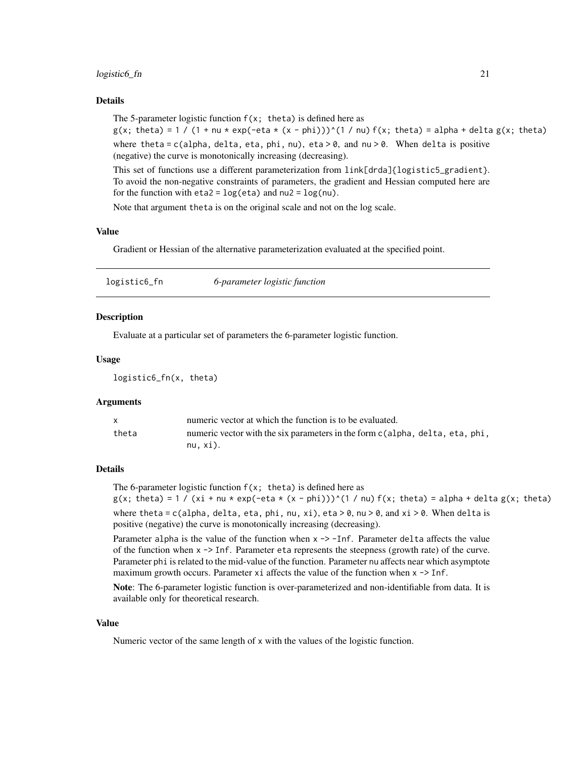#### <span id="page-20-0"></span>logistic6\_fn 21

# Details

The 5-parameter logistic function  $f(x; \theta)$  is defined here as  $g(x; \theta) = 1 / (1 + nu \cdot exp(-eta \cdot (x - phi)))^{n}(1 / nu) f(x; \theta) = alpha + delta g(x; \theta)$ where theta = c(alpha, delta, eta, phi, nu), eta  $> 0$ , and nu  $> 0$ . When delta is positive (negative) the curve is monotonically increasing (decreasing).

This set of functions use a different parameterization from link[drda]{logistic5\_gradient}. To avoid the non-negative constraints of parameters, the gradient and Hessian computed here are for the function with  $eta2 = log(tta)$  and  $nu2 = log(nu)$ .

Note that argument theta is on the original scale and not on the log scale.

# Value

Gradient or Hessian of the alternative parameterization evaluated at the specified point.

| logistic6_fn | 6-parameter logistic function |  |
|--------------|-------------------------------|--|
|              |                               |  |

# **Description**

Evaluate at a particular set of parameters the 6-parameter logistic function.

# Usage

logistic6\_fn(x, theta)

# Arguments

|       | numeric vector at which the function is to be evaluated.                     |
|-------|------------------------------------------------------------------------------|
| theta | numeric vector with the six parameters in the form c(alpha, delta, eta, phi, |
|       | nu, xi).                                                                     |

# Details

The 6-parameter logistic function  $f(x; \theta)$  is defined here as  $g(x; \theta) = 1 / (x\theta + \theta)$  +  $\theta = \theta(x; \theta)$  +  $\theta = \theta(x; \theta)$  +  $\theta = \theta(x; \theta)$  +  $\theta = \theta(x; \theta)$  +  $\theta = \theta(x; \theta)$ where theta = c(alpha, delta, eta, phi, nu, xi), eta > 0, nu > 0, and xi > 0. When delta is positive (negative) the curve is monotonically increasing (decreasing).

Parameter alpha is the value of the function when  $x \rightarrow -\text{Inf}$ . Parameter delta affects the value of the function when x -> Inf. Parameter eta represents the steepness (growth rate) of the curve. Parameter phi is related to the mid-value of the function. Parameter nu affects near which asymptote maximum growth occurs. Parameter  $x_i$  affects the value of the function when  $x \rightarrow$  Inf.

Note: The 6-parameter logistic function is over-parameterized and non-identifiable from data. It is available only for theoretical research.

#### Value

Numeric vector of the same length of x with the values of the logistic function.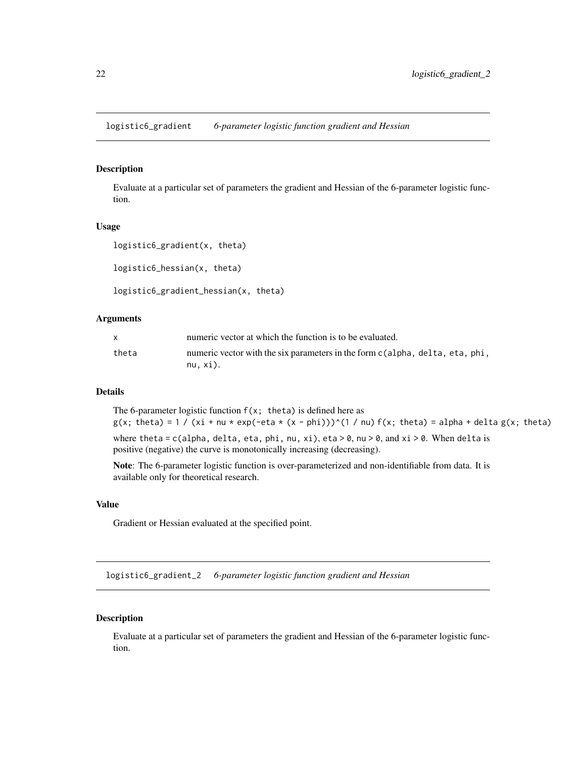<span id="page-21-0"></span>logistic6\_gradient *6-parameter logistic function gradient and Hessian*

# Description

Evaluate at a particular set of parameters the gradient and Hessian of the 6-parameter logistic function.

#### Usage

```
logistic6_gradient(x, theta)
logistic6_hessian(x, theta)
logistic6_gradient_hessian(x, theta)
```
#### Arguments

|       | numeric vector at which the function is to be evaluated.                                 |
|-------|------------------------------------------------------------------------------------------|
| theta | numeric vector with the six parameters in the form c(alpha, delta, eta, phi,<br>nu. xi). |

# Details

The 6-parameter logistic function  $f(x; t)$  theta) is defined here as  $g(x; \theta) = 1 / (x\theta + \theta \omega + \exp(-\theta \theta \alpha + (x - \theta) \theta))$ ^(1 / nu) f(x; theta) = alpha + delta g(x; theta) where theta = c(alpha, delta, eta, phi, nu, xi), eta > 0, nu > 0, and xi > 0. When delta is positive (negative) the curve is monotonically increasing (decreasing).

Note: The 6-parameter logistic function is over-parameterized and non-identifiable from data. It is available only for theoretical research.

# Value

Gradient or Hessian evaluated at the specified point.

logistic6\_gradient\_2 *6-parameter logistic function gradient and Hessian*

# Description

Evaluate at a particular set of parameters the gradient and Hessian of the 6-parameter logistic function.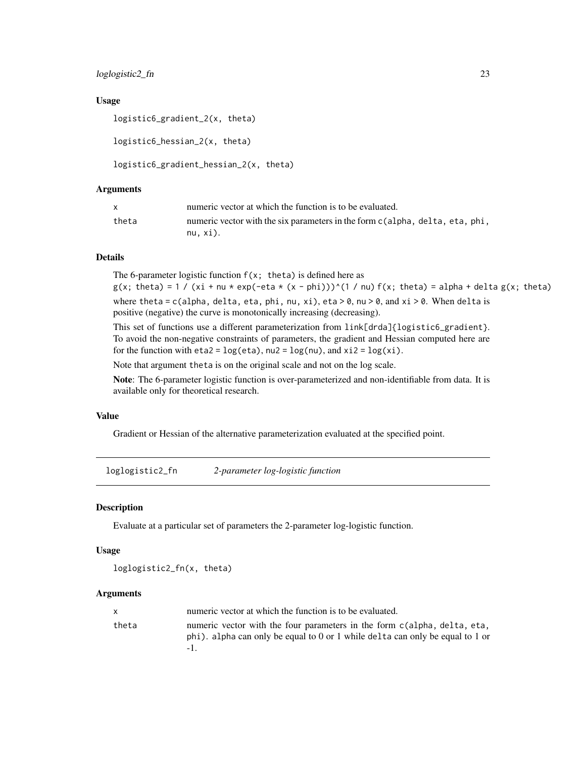# <span id="page-22-0"></span>loglogistic2\_fn 23

# Usage

```
logistic6_gradient_2(x, theta)
logistic6_hessian_2(x, theta)
```

```
logistic6_gradient_hessian_2(x, theta)
```
# Arguments

|       | numeric vector at which the function is to be evaluated.                                 |
|-------|------------------------------------------------------------------------------------------|
| theta | numeric vector with the six parameters in the form c(alpha, delta, eta, phi,<br>nu. xi). |

# Details

The 6-parameter logistic function  $f(x; \theta)$  is defined here as

 $g(x; \theta) = 1 / (xi + nu * exp(-eta * (x - phi)))^(1 / nu) f(x; \theta) = alpha + delta g(x; \theta)$ where theta = c(alpha, delta, eta, phi, nu, xi), eta > 0, nu > 0, and xi > 0. When delta is positive (negative) the curve is monotonically increasing (decreasing).

This set of functions use a different parameterization from link[drda]{logistic6\_gradient}. To avoid the non-negative constraints of parameters, the gradient and Hessian computed here are for the function with  $eta2 = log(tta)$ , nu2 =  $log(nu)$ , and  $xi2 = log(xi)$ .

Note that argument theta is on the original scale and not on the log scale.

Note: The 6-parameter logistic function is over-parameterized and non-identifiable from data. It is available only for theoretical research.

#### Value

Gradient or Hessian of the alternative parameterization evaluated at the specified point.

loglogistic2\_fn *2-parameter log-logistic function*

# Description

Evaluate at a particular set of parameters the 2-parameter log-logistic function.

# Usage

loglogistic2\_fn(x, theta)

# Arguments

|       | numeric vector at which the function is to be evaluated.                                                                                                  |
|-------|-----------------------------------------------------------------------------------------------------------------------------------------------------------|
| theta | numeric vector with the four parameters in the form c(alpha, delta, eta,<br>phi). alpha can only be equal to 0 or 1 while delta can only be equal to 1 or |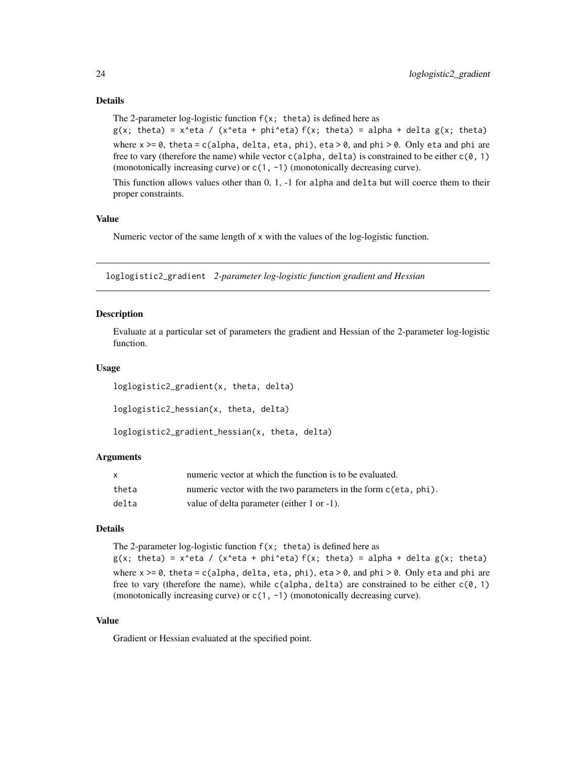The 2-parameter log-logistic function  $f(x; \theta)$  is defined here as

 $g(x; \text{ theta}) = x^{\text{ data}} / (x^{\text{ beta}} + \text{phi}^{\text{ data}}) f(x; \text{ theta}) = \text{alpha} + \text{delta} g(x; \text{ theta})$ where  $x \ge 0$ , theta = c(alpha, delta, eta, phi), eta  $> 0$ , and phi  $> 0$ . Only eta and phi are free to vary (therefore the name) while vector  $c$ (alpha, delta) is constrained to be either  $c$ ( $\emptyset$ , 1) (monotonically increasing curve) or c(1, -1) (monotonically decreasing curve).

This function allows values other than 0, 1, -1 for alpha and delta but will coerce them to their proper constraints.

# Value

Numeric vector of the same length of x with the values of the log-logistic function.

loglogistic2\_gradient *2-parameter log-logistic function gradient and Hessian*

# Description

Evaluate at a particular set of parameters the gradient and Hessian of the 2-parameter log-logistic function.

# Usage

```
loglogistic2_gradient(x, theta, delta)
```
loglogistic2\_hessian(x, theta, delta)

```
loglogistic2_gradient_hessian(x, theta, delta)
```
#### Arguments

|       | numeric vector at which the function is to be evaluated.        |
|-------|-----------------------------------------------------------------|
| theta | numeric vector with the two parameters in the form c(eta, phi). |
| delta | value of delta parameter (either 1 or -1).                      |

# Details

The 2-parameter log-logistic function  $f(x; \theta)$  is defined here as  $g(x; \theta) = x^{\theta} \cdot f(x^{\theta}) + f(x; \theta) = a \cdot f(x; \theta)$  = alpha + delta  $g(x; \theta)$  theta) where  $x \ge 0$ , theta = c(alpha, delta, eta, phi), eta > 0, and phi > 0. Only eta and phi are free to vary (therefore the name), while c(alpha, delta) are constrained to be either  $c(\emptyset, 1)$ (monotonically increasing curve) or c(1, -1) (monotonically decreasing curve).

#### Value

Gradient or Hessian evaluated at the specified point.

<span id="page-23-0"></span>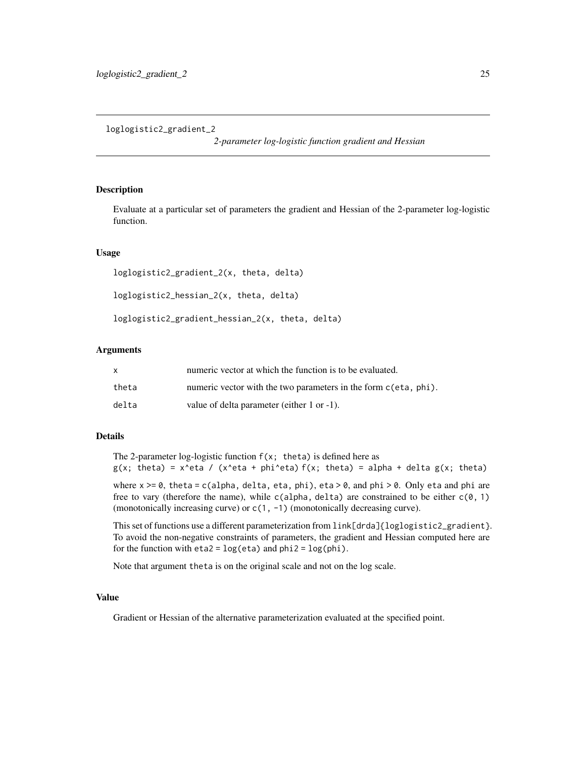<span id="page-24-0"></span>loglogistic2\_gradient\_2

*2-parameter log-logistic function gradient and Hessian*

# Description

Evaluate at a particular set of parameters the gradient and Hessian of the 2-parameter log-logistic function.

# Usage

```
loglogistic2_gradient_2(x, theta, delta)
```
loglogistic2\_hessian\_2(x, theta, delta)

loglogistic2\_gradient\_hessian\_2(x, theta, delta)

# Arguments

|       | numeric vector at which the function is to be evaluated.        |
|-------|-----------------------------------------------------------------|
| theta | numeric vector with the two parameters in the form c(eta, phi). |
| delta | value of delta parameter (either 1 or -1).                      |

# Details

The 2-parameter log-logistic function  $f(x; \theta)$  is defined here as  $g(x;$  theta) = x^eta / (x^eta + phi^eta) f(x; theta) = alpha + delta  $g(x;$  theta)

where  $x \ge 0$ , theta = c(alpha, delta, eta, phi), eta  $> 0$ , and phi  $> 0$ . Only eta and phi are free to vary (therefore the name), while c(alpha, delta) are constrained to be either  $c(\emptyset, 1)$ (monotonically increasing curve) or c(1, -1) (monotonically decreasing curve).

This set of functions use a different parameterization from link[drda]{loglogistic2\_gradient}. To avoid the non-negative constraints of parameters, the gradient and Hessian computed here are for the function with  $eta2 = log(ta)$  and  $phi2 = log(phi)$ .

Note that argument theta is on the original scale and not on the log scale.

#### Value

Gradient or Hessian of the alternative parameterization evaluated at the specified point.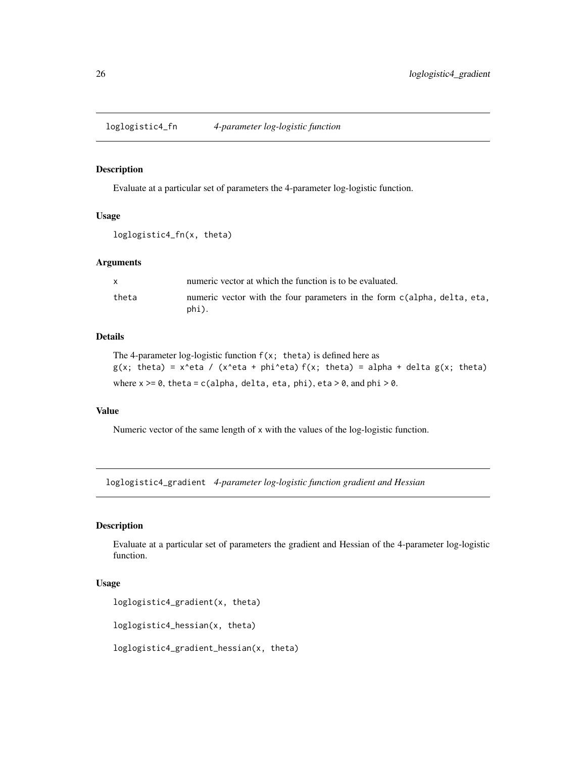<span id="page-25-0"></span>loglogistic4\_fn *4-parameter log-logistic function*

# Description

Evaluate at a particular set of parameters the 4-parameter log-logistic function.

# Usage

```
loglogistic4_fn(x, theta)
```
# Arguments

|       | numeric vector at which the function is to be evaluated.                          |
|-------|-----------------------------------------------------------------------------------|
| theta | numeric vector with the four parameters in the form c(alpha, delta, eta,<br>phi). |

# Details

```
The 4-parameter log-logistic function f(x; \theta) is defined here as
g(x; \theta) = x^{\theta} \cdot g(x; \theta) = x^eta / (x^eta + phi^eta) f(x; theta) = alpha + delta g(x; theta)
where x \ge 0, theta = c(alpha, delta, eta, phi), eta > 0, and phi > 0.
```
# Value

Numeric vector of the same length of x with the values of the log-logistic function.

loglogistic4\_gradient *4-parameter log-logistic function gradient and Hessian*

# Description

Evaluate at a particular set of parameters the gradient and Hessian of the 4-parameter log-logistic function.

# Usage

```
loglogistic4_gradient(x, theta)
```

```
loglogistic4_hessian(x, theta)
```

```
loglogistic4_gradient_hessian(x, theta)
```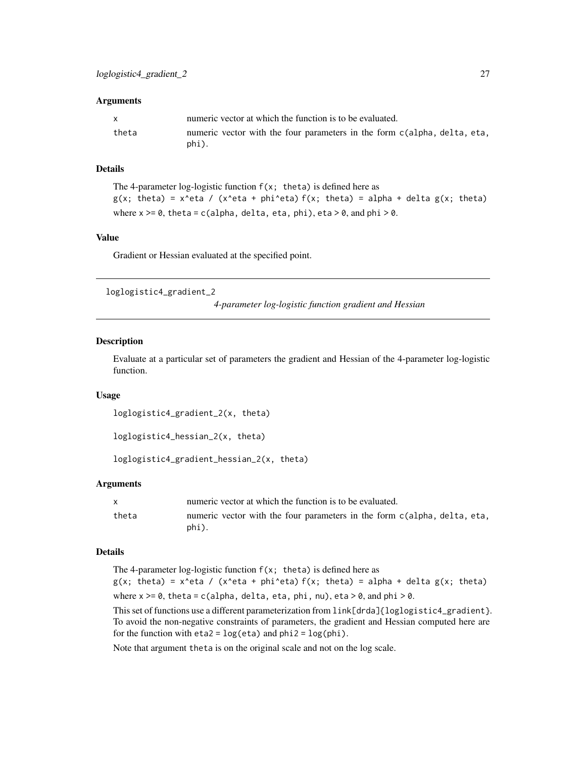#### <span id="page-26-0"></span>**Arguments**

| $\mathbf{x}$ | numeric vector at which the function is to be evaluated.                          |
|--------------|-----------------------------------------------------------------------------------|
| theta        | numeric vector with the four parameters in the form c(alpha, delta, eta,<br>phi). |

# Details

```
The 4-parameter log-logistic function f(x; \theta) is defined here as
g(x; \theta) = x^{\theta} \cdot g(x; \theta) = x^eta / (x^eta + phi^eta) f(x; theta) = alpha + delta g(x; theta)
where x \ge 0, theta = c(alpha, delta, eta, phi), eta > 0, and phi > 0.
```
# Value

Gradient or Hessian evaluated at the specified point.

loglogistic4\_gradient\_2

*4-parameter log-logistic function gradient and Hessian*

# Description

Evaluate at a particular set of parameters the gradient and Hessian of the 4-parameter log-logistic function.

#### Usage

```
loglogistic4_gradient_2(x, theta)
```

```
loglogistic4_hessian_2(x, theta)
```
loglogistic4\_gradient\_hessian\_2(x, theta)

# Arguments

|       | numeric vector at which the function is to be evaluated.                          |
|-------|-----------------------------------------------------------------------------------|
| theta | numeric vector with the four parameters in the form c(alpha, delta, eta,<br>phi). |

# Details

The 4-parameter log-logistic function  $f(x; t)$  theta) is defined here as  $g(x; \theta) = x^{\theta} \cdot g(x; \theta)$  = x^eta / (x^eta + phi^eta) f(x; theta) = alpha + delta g(x; theta) where  $x \ge 0$ , theta = c(alpha, delta, eta, phi, nu), eta > 0, and phi > 0.

This set of functions use a different parameterization from link[drda]{loglogistic4\_gradient}. To avoid the non-negative constraints of parameters, the gradient and Hessian computed here are for the function with  $eta2 = log(ta)$  and  $phi2 = log(phi)$ .

Note that argument theta is on the original scale and not on the log scale.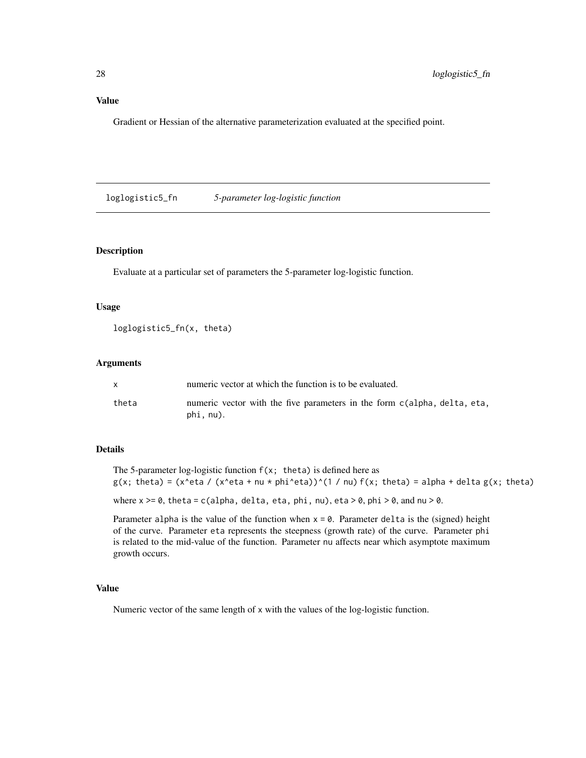# <span id="page-27-0"></span>Value

Gradient or Hessian of the alternative parameterization evaluated at the specified point.

loglogistic5\_fn *5-parameter log-logistic function*

# Description

Evaluate at a particular set of parameters the 5-parameter log-logistic function.

#### Usage

```
loglogistic5_fn(x, theta)
```
# Arguments

|       | numeric vector at which the function is to be evaluated.                              |
|-------|---------------------------------------------------------------------------------------|
| theta | numeric vector with the five parameters in the form c(alpha, delta, eta,<br>phi, nu). |

# Details

The 5-parameter log-logistic function  $f(x; t)$  theta) is defined here as  $g(x; \theta) = (x^{\theta} - 1)(x^{\theta} + 1)(x^{\theta} - 1)(x^{\theta} - 1)(x^{\theta} - 1)(x^{\theta} - 1)(x^{\theta} - 1)(x^{\theta} - 1)(x^{\theta} - 1)(x^{\theta} - 1)(x^{\theta} - 1)(x^{\theta} - 1)(x^{\theta} - 1)(x^{\theta} - 1)(x^{\theta} - 1)(x^{\theta} - 1)(x^{\theta} - 1)(x^{\theta} - 1)(x^{\theta} - 1)(x^{\theta} - 1)(x^{\theta} - 1)(x^{\theta} - 1)(x^{\theta} - 1)(x^{\theta}$ 

where  $x \ge 0$ , theta = c(alpha, delta, eta, phi, nu), eta > 0, phi > 0, and nu > 0.

Parameter alpha is the value of the function when  $x = 0$ . Parameter delta is the (signed) height of the curve. Parameter eta represents the steepness (growth rate) of the curve. Parameter phi is related to the mid-value of the function. Parameter nu affects near which asymptote maximum growth occurs.

# Value

Numeric vector of the same length of x with the values of the log-logistic function.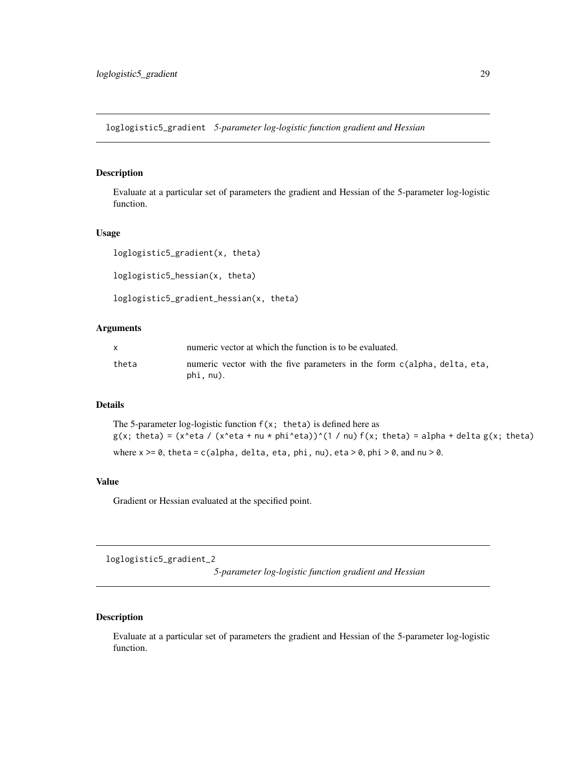<span id="page-28-0"></span>loglogistic5\_gradient *5-parameter log-logistic function gradient and Hessian*

# Description

Evaluate at a particular set of parameters the gradient and Hessian of the 5-parameter log-logistic function.

# Usage

```
loglogistic5_gradient(x, theta)
loglogistic5_hessian(x, theta)
```
loglogistic5\_gradient\_hessian(x, theta)

# Arguments

|       | numeric vector at which the function is to be evaluated.                              |
|-------|---------------------------------------------------------------------------------------|
| theta | numeric vector with the five parameters in the form c(alpha, delta, eta,<br>phi, nu). |

# Details

The 5-parameter log-logistic function  $f(x; \theta)$  is defined here as  $g(x; \theta) = (x^{\theta} - 1)(x^{\theta} + 1)(x^{\theta} - 1)(x^{\theta} - 1)(x^{\theta} - 1)(x^{\theta} - 1)(x^{\theta} - 1)(x^{\theta} - 1)(x^{\theta} - 1)(x^{\theta} - 1)(x^{\theta} - 1)(x^{\theta} - 1)(x^{\theta} - 1)(x^{\theta} - 1)(x^{\theta} - 1)(x^{\theta} - 1)(x^{\theta} - 1)(x^{\theta} - 1)(x^{\theta} - 1)(x^{\theta} - 1)(x^{\theta} - 1)(x^{\theta} - 1)(x^{\theta} - 1)(x^{\theta}$ where  $x \ge 0$ , theta = c(alpha, delta, eta, phi, nu), eta > 0, phi > 0, and nu > 0.

#### Value

Gradient or Hessian evaluated at the specified point.

loglogistic5\_gradient\_2

*5-parameter log-logistic function gradient and Hessian*

# Description

Evaluate at a particular set of parameters the gradient and Hessian of the 5-parameter log-logistic function.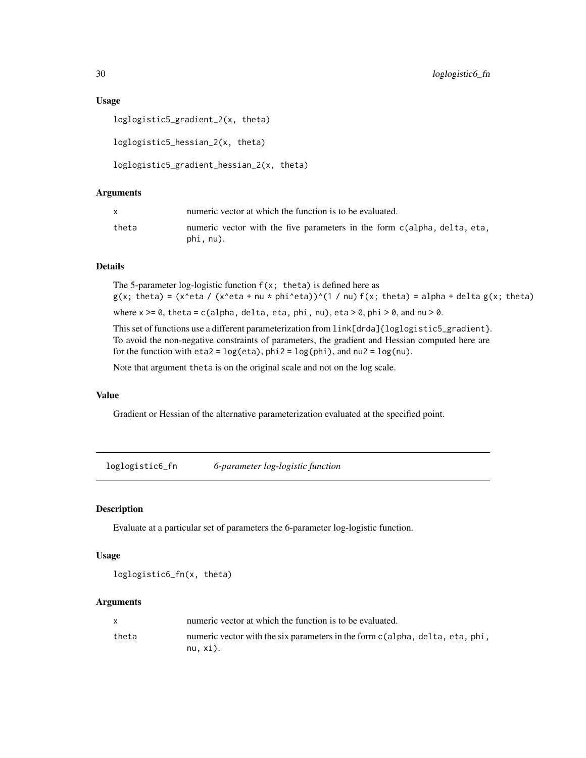# Usage

```
loglogistic5_gradient_2(x, theta)
loglogistic5_hessian_2(x, theta)
loglogistic5_gradient_hessian_2(x, theta)
```
# Arguments

|       | numeric vector at which the function is to be evaluated.                              |
|-------|---------------------------------------------------------------------------------------|
| theta | numeric vector with the five parameters in the form c(alpha, delta, eta,<br>phi, nu). |

# Details

The 5-parameter log-logistic function  $f(x; \theta)$  is defined here as  $g(x; \theta) = (x^{\theta}e^{\theta} + \theta^{\theta})^{\theta}$  (x  $\theta$  + nu \* phi^eta))^(1 / nu) f(x; theta) = alpha + delta g(x; theta)

where  $x \ge 0$ , theta = c(alpha, delta, eta, phi, nu), eta > 0, phi > 0, and nu > 0.

This set of functions use a different parameterization from  $link[drda]{loglogistic5\_gradient}.$ To avoid the non-negative constraints of parameters, the gradient and Hessian computed here are for the function with  $eta2 = log(ta)$ ,  $phi2 = log(phi)$ , and  $nu2 = log(nu)$ .

Note that argument theta is on the original scale and not on the log scale.

# Value

Gradient or Hessian of the alternative parameterization evaluated at the specified point.

loglogistic6\_fn *6-parameter log-logistic function*

# Description

Evaluate at a particular set of parameters the 6-parameter log-logistic function.

# Usage

```
loglogistic6_fn(x, theta)
```
# Arguments

|       | numeric vector at which the function is to be evaluated.                                    |
|-------|---------------------------------------------------------------------------------------------|
| theta | numeric vector with the six parameters in the form c(alpha, delta, eta, phi,<br>$nu, x$ i). |

<span id="page-29-0"></span>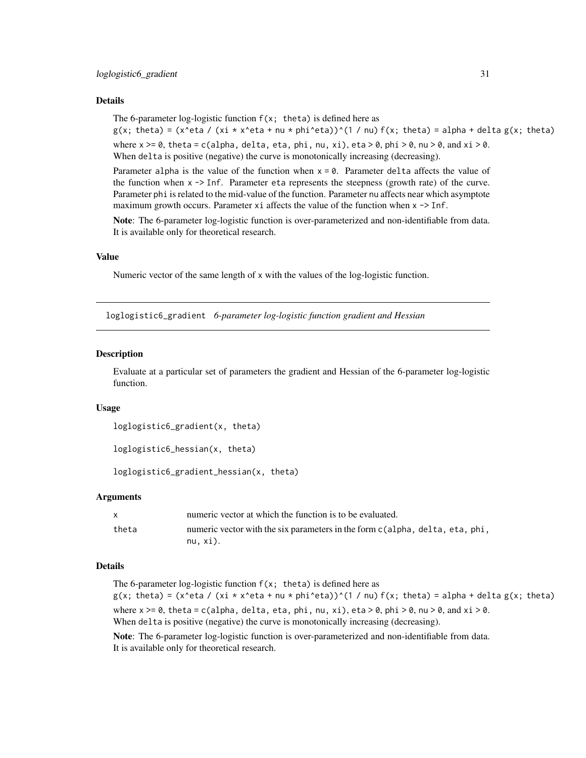# <span id="page-30-0"></span>Details

The 6-parameter log-logistic function  $f(x; \theta)$  is defined here as  $g(x; \theta) = (x \text{ (xeta) } (x \text{ is } x \text{ (xeta + nu \cdot \theta))})(1 / \theta)(x; \theta) = \text{alpha + delta } g(x; \theta)$ where  $x \ge 0$ , theta = c(alpha, delta, eta, phi, nu, xi), eta > 0, phi > 0, nu > 0, and xi > 0.

When delta is positive (negative) the curve is monotonically increasing (decreasing).

Parameter alpha is the value of the function when  $x = 0$ . Parameter delta affects the value of the function when  $x \rightarrow$  Inf. Parameter eta represents the steepness (growth rate) of the curve. Parameter phi is related to the mid-value of the function. Parameter nu affects near which asymptote maximum growth occurs. Parameter  $x_i$  affects the value of the function when  $x \rightarrow$  Inf.

Note: The 6-parameter log-logistic function is over-parameterized and non-identifiable from data. It is available only for theoretical research.

# Value

Numeric vector of the same length of x with the values of the log-logistic function.

loglogistic6\_gradient *6-parameter log-logistic function gradient and Hessian*

# **Description**

Evaluate at a particular set of parameters the gradient and Hessian of the 6-parameter log-logistic function.

#### Usage

```
loglogistic6_gradient(x, theta)
```

```
loglogistic6_hessian(x, theta)
```
loglogistic6\_gradient\_hessian(x, theta)

#### Arguments

|       | numeric vector at which the function is to be evaluated.                                    |
|-------|---------------------------------------------------------------------------------------------|
| theta | numeric vector with the six parameters in the form c(alpha, delta, eta, phi,<br>$nu, x$ i). |

# Details

The 6-parameter log-logistic function  $f(x; t)$  theta) is defined here as  $g(x; \theta) = (x^{\theta} + x^{\theta})^{\theta}$  (xi \* x^eta + nu \* phi^eta))^(1 / nu) f(x; theta) = alpha + delta g(x; theta) where  $x \ge 0$ , theta = c(alpha, delta, eta, phi, nu, xi), eta > 0, phi > 0, nu > 0, and xi > 0. When delta is positive (negative) the curve is monotonically increasing (decreasing).

Note: The 6-parameter log-logistic function is over-parameterized and non-identifiable from data. It is available only for theoretical research.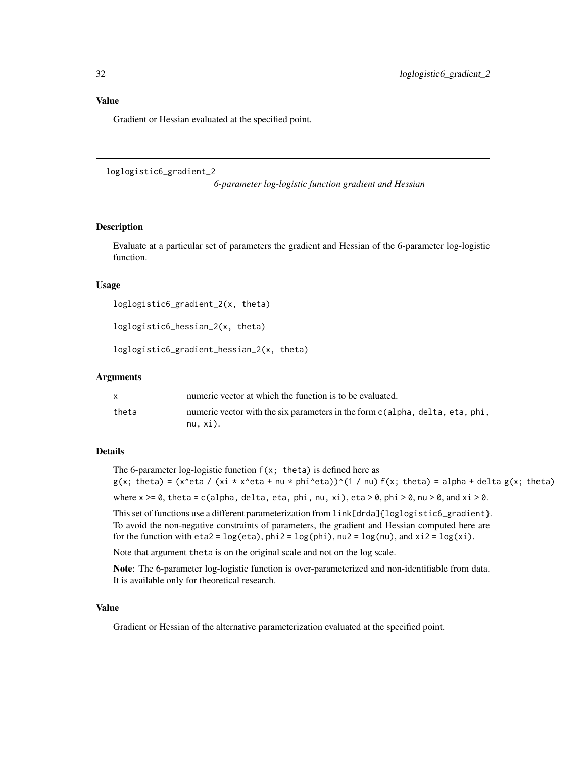# <span id="page-31-0"></span>Value

Gradient or Hessian evaluated at the specified point.

loglogistic6\_gradient\_2

*6-parameter log-logistic function gradient and Hessian*

# Description

Evaluate at a particular set of parameters the gradient and Hessian of the 6-parameter log-logistic function.

#### Usage

```
loglogistic6_gradient_2(x, theta)
```

```
loglogistic6_hessian_2(x, theta)
```

```
loglogistic6_gradient_hessian_2(x, theta)
```
# Arguments

|       | numeric vector at which the function is to be evaluated.                                    |
|-------|---------------------------------------------------------------------------------------------|
| theta | numeric vector with the six parameters in the form c(alpha, delta, eta, phi,<br>$nu. xi)$ . |

# Details

```
The 6-parameter log-logistic function f(x; \theta) is defined here as
g(x; \theta) = (x^{\theta} + \theta x^{\theta})^2 + (x^{\theta} + \theta x^{\theta})^2 + (x^{\theta} + \theta x^{\theta})^2 + (x^{\theta} + \theta x^{\theta})^2 + (x^{\theta} + \theta x^{\theta})^2 + (x^{\theta} + \theta x^{\theta})^2 + (x^{\theta} + \theta x^{\theta})^2 + (x^{\theta} + \theta x^{\theta})^2 + (x^{\theta} + \theta x^{\theta})^2 + (x^{\theta} + \theta x^{\theta})^2 + (x^{\theta} + \theta x^{\theta})^2 + (x^{\theta} + \theta x^{\theta})^2 + (x^{\theta} + \thetawhere x \ge 0, theta = c(alpha, delta, eta, phi, nu, xi), eta > 0, phi > 0, nu > 0, and xi > 0.
```
This set of functions use a different parameterization from  $link[drda]{loglogistic6 gradient}.$ To avoid the non-negative constraints of parameters, the gradient and Hessian computed here are for the function with  $eta2 = log(tta)$ ,  $phi2 = log(phi)$ ,  $nu2 = log(nu)$ , and  $xi2 = log(xi)$ .

Note that argument theta is on the original scale and not on the log scale.

Note: The 6-parameter log-logistic function is over-parameterized and non-identifiable from data. It is available only for theoretical research.

# Value

Gradient or Hessian of the alternative parameterization evaluated at the specified point.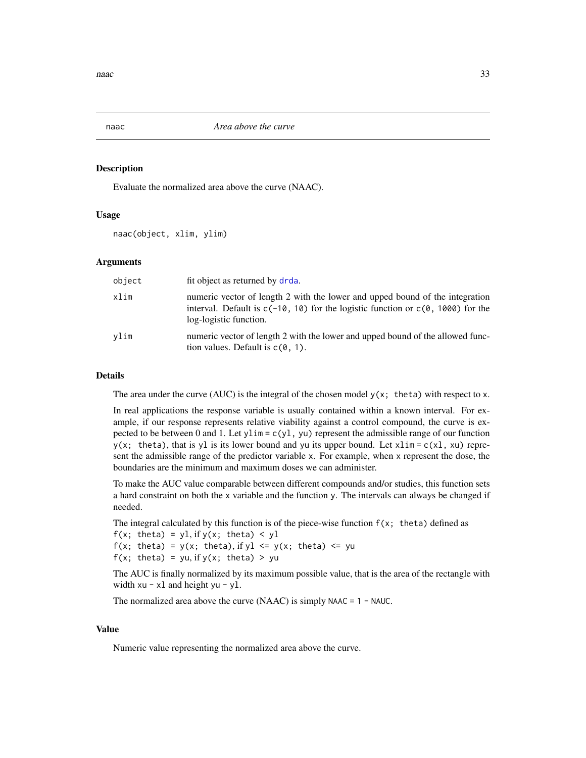<span id="page-32-1"></span><span id="page-32-0"></span>

# Description

Evaluate the normalized area above the curve (NAAC).

# Usage

naac(object, xlim, ylim)

# Arguments

| object | fit object as returned by drda.                                                                                                                                                               |
|--------|-----------------------------------------------------------------------------------------------------------------------------------------------------------------------------------------------|
| xlim   | numeric vector of length 2 with the lower and upped bound of the integration<br>interval. Default is $c(-10, 10)$ for the logistic function or $c(0, 1000)$ for the<br>log-logistic function. |
| vlim   | numeric vector of length 2 with the lower and upped bound of the allowed func-<br>tion values. Default is $c(0, 1)$ .                                                                         |

# Details

The area under the curve (AUC) is the integral of the chosen model  $y(x; \theta)$  theta) with respect to x.

In real applications the response variable is usually contained within a known interval. For example, if our response represents relative viability against a control compound, the curve is expected to be between 0 and 1. Let  $y \lim = c(y1, yu)$  represent the admissible range of our function  $y(x; \text{theta})$ , that is yl is its lower bound and yu its upper bound. Let  $x \lim x c(x)$ ,  $xu$ ) represent the admissible range of the predictor variable x. For example, when x represent the dose, the boundaries are the minimum and maximum doses we can administer.

To make the AUC value comparable between different compounds and/or studies, this function sets a hard constraint on both the x variable and the function y. The intervals can always be changed if needed.

The integral calculated by this function is of the piece-wise function  $f(x; \theta)$  defined as

 $f(x; \theta) = y1$ , if  $y(x; \theta) < y1$  $f(x; \text{theta}) = y(x; \text{theta})$ , if yl <= y(x; theta) <= yu

```
f(x; \text{theta}) = yu, \text{ if } y(x; \text{theta}) > yu
```
The AUC is finally normalized by its maximum possible value, that is the area of the rectangle with width  $xu - x1$  and height  $yu - y1$ .

The normalized area above the curve (NAAC) is simply NAAC  $= 1 - N AUC$ .

# Value

Numeric value representing the normalized area above the curve.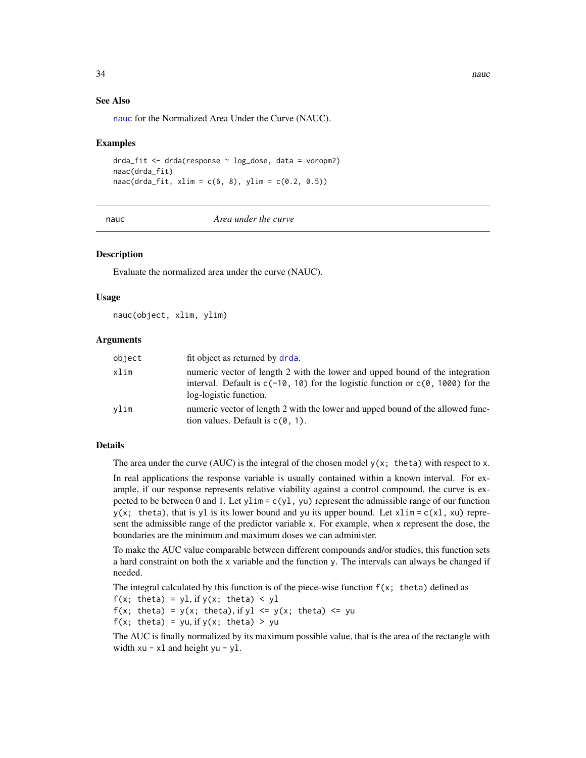<span id="page-33-0"></span>34 nauc

### See Also

[nauc](#page-33-1) for the Normalized Area Under the Curve (NAUC).

# Examples

```
drda_fit <- drda(response ~ log_dose, data = voropm2)
naac(drda_fit)
naac(drda_fit, xlim = c(6, 8), ylim = c(0.2, 0.5))
```
<span id="page-33-1"></span>

nauc *Area under the curve*

#### **Description**

Evaluate the normalized area under the curve (NAUC).

#### Usage

nauc(object, xlim, ylim)

#### Arguments

| object | fit object as returned by drda.                                                                                                                                                               |
|--------|-----------------------------------------------------------------------------------------------------------------------------------------------------------------------------------------------|
| xlim   | numeric vector of length 2 with the lower and upped bound of the integration<br>interval. Default is $c(-10, 10)$ for the logistic function or $c(0, 1000)$ for the<br>log-logistic function. |
| vlim   | numeric vector of length 2 with the lower and upped bound of the allowed func-<br>tion values. Default is $c(0, 1)$ .                                                                         |

# Details

The area under the curve (AUC) is the integral of the chosen model  $y(x; \theta)$  with respect to x.

In real applications the response variable is usually contained within a known interval. For example, if our response represents relative viability against a control compound, the curve is expected to be between 0 and 1. Let  $y \lim = c(y1, yu)$  represent the admissible range of our function  $y(x; \text{theta})$ , that is yl is its lower bound and yu its upper bound. Let  $x \lim = c(x1, xu)$  represent the admissible range of the predictor variable x. For example, when x represent the dose, the boundaries are the minimum and maximum doses we can administer.

To make the AUC value comparable between different compounds and/or studies, this function sets a hard constraint on both the x variable and the function y. The intervals can always be changed if needed.

The integral calculated by this function is of the piece-wise function  $f(x; \theta)$  defined as  $f(x; \theta) = y1$ , if  $y(x; \theta) < y1$  $f(x; \text{theta}) = y(x; \text{theta}), \text{if } y1 \leq y(x; \text{theta}) \leq yu$  $f(x; \text{theta}) = yu, \text{ if } y(x; \text{theta}) > yu$ 

The AUC is finally normalized by its maximum possible value, that is the area of the rectangle with width  $xu - x1$  and height  $yu - y1$ .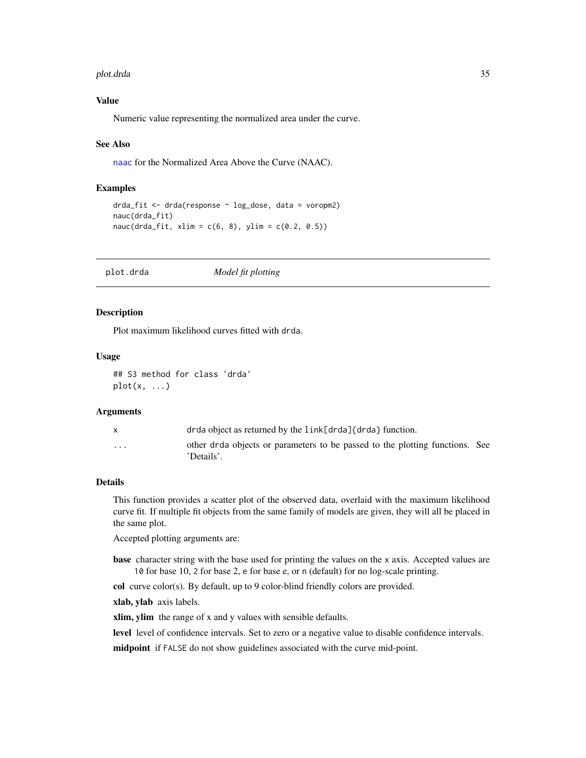#### <span id="page-34-0"></span>plot.drda 35

# Value

Numeric value representing the normalized area under the curve.

#### See Also

[naac](#page-32-1) for the Normalized Area Above the Curve (NAAC).

# Examples

```
drda_fit <- drda(response ~ log_dose, data = voropm2)
nauc(drda_fit)
nauc(drda_fit, xlim = c(6, 8), ylim = c(0.2, 0.5))
```
plot.drda *Model fit plotting*

# **Description**

Plot maximum likelihood curves fitted with drda.

#### Usage

```
## S3 method for class 'drda'
plot(x, \ldots)
```
#### Arguments

|                         | drda object as returned by the link[drda]{drda} function.                                  |  |
|-------------------------|--------------------------------------------------------------------------------------------|--|
| $\cdot$ $\cdot$ $\cdot$ | other drda objects or parameters to be passed to the plotting functions. See<br>'Details'. |  |

### Details

This function provides a scatter plot of the observed data, overlaid with the maximum likelihood curve fit. If multiple fit objects from the same family of models are given, they will all be placed in the same plot.

Accepted plotting arguments are:

base character string with the base used for printing the values on the x axis. Accepted values are 10 for base 10, 2 for base 2, e for base e, or n (default) for no log-scale printing.

col curve color(s). By default, up to 9 color-blind friendly colors are provided.

xlab, ylab axis labels.

xlim, ylim the range of x and y values with sensible defaults.

level level of confidence intervals. Set to zero or a negative value to disable confidence intervals.

midpoint if FALSE do not show guidelines associated with the curve mid-point.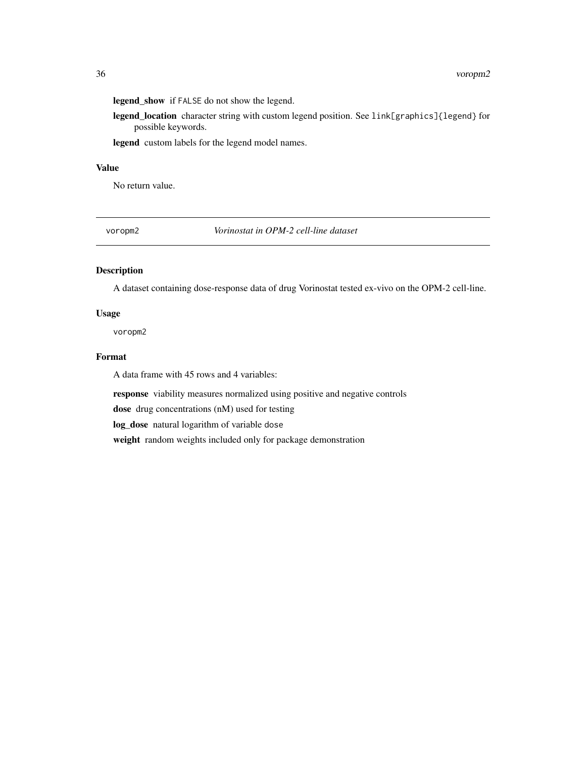<span id="page-35-0"></span>legend\_show if FALSE do not show the legend.

legend\_location character string with custom legend position. See link[graphics]{legend} for possible keywords.

legend custom labels for the legend model names.

# Value

No return value.

voropm2 *Vorinostat in OPM-2 cell-line dataset*

# Description

A dataset containing dose-response data of drug Vorinostat tested ex-vivo on the OPM-2 cell-line.

#### Usage

voropm2

# Format

A data frame with 45 rows and 4 variables:

response viability measures normalized using positive and negative controls

dose drug concentrations (nM) used for testing

log\_dose natural logarithm of variable dose

weight random weights included only for package demonstration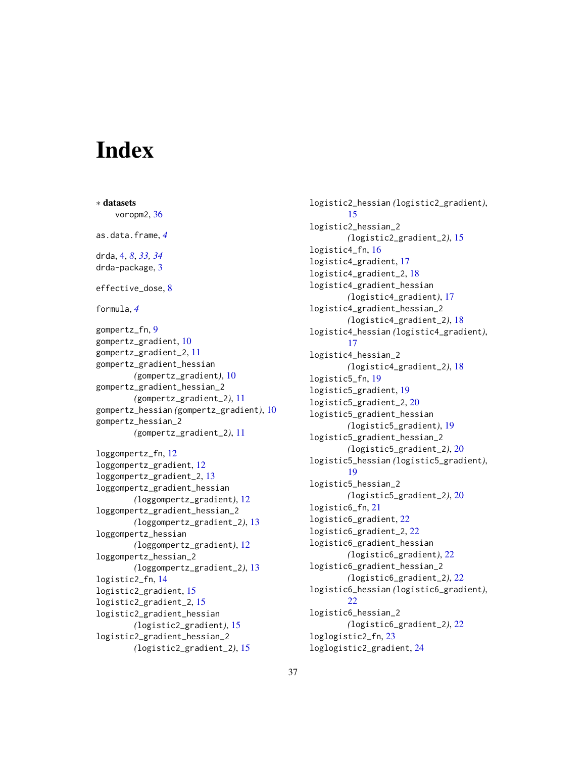# <span id="page-36-0"></span>**Index**

∗ datasets voropm2, [36](#page-35-0) as.data.frame, *[4](#page-3-0)* drda, [4,](#page-3-0) *[8](#page-7-0)*, *[33,](#page-32-0) [34](#page-33-0)* drda-package, [3](#page-2-0) effective\_dose, [8](#page-7-0) formula, *[4](#page-3-0)* gompertz\_fn, [9](#page-8-0) gompertz\_gradient, [10](#page-9-0) gompertz\_gradient\_2, [11](#page-10-0) gompertz\_gradient\_hessian *(*gompertz\_gradient*)*, [10](#page-9-0) gompertz\_gradient\_hessian\_2 *(*gompertz\_gradient\_2*)*, [11](#page-10-0) gompertz\_hessian *(*gompertz\_gradient*)*, [10](#page-9-0) gompertz\_hessian\_2 *(*gompertz\_gradient\_2*)*, [11](#page-10-0) loggompertz\_fn, [12](#page-11-0) loggompertz\_gradient, [12](#page-11-0) loggompertz\_gradient\_2, [13](#page-12-0) loggompertz\_gradient\_hessian *(*loggompertz\_gradient*)*, [12](#page-11-0) loggompertz\_gradient\_hessian\_2 *(*loggompertz\_gradient\_2*)*, [13](#page-12-0) loggompertz\_hessian *(*loggompertz\_gradient*)*, [12](#page-11-0) loggompertz\_hessian\_2 *(*loggompertz\_gradient\_2*)*, [13](#page-12-0) logistic2\_fn, [14](#page-13-0) logistic2\_gradient, [15](#page-14-0) logistic2\_gradient\_2, [15](#page-14-0) logistic2\_gradient\_hessian *(*logistic2\_gradient*)*, [15](#page-14-0) logistic2\_gradient\_hessian\_2 *(*logistic2\_gradient\_2*)*, [15](#page-14-0)

logistic2\_hessian *(*logistic2\_gradient*)*, [15](#page-14-0) logistic2\_hessian\_2 *(*logistic2\_gradient\_2*)*, [15](#page-14-0) logistic4\_fn, [16](#page-15-0) logistic4\_gradient, [17](#page-16-0) logistic4\_gradient\_2, [18](#page-17-0) logistic4\_gradient\_hessian *(*logistic4\_gradient*)*, [17](#page-16-0) logistic4\_gradient\_hessian\_2 *(*logistic4\_gradient\_2*)*, [18](#page-17-0) logistic4\_hessian *(*logistic4\_gradient*)*, [17](#page-16-0) logistic4\_hessian\_2 *(*logistic4\_gradient\_2*)*, [18](#page-17-0) logistic5\_fn, [19](#page-18-0) logistic5\_gradient, [19](#page-18-0) logistic5\_gradient\_2, [20](#page-19-0) logistic5\_gradient\_hessian *(*logistic5\_gradient*)*, [19](#page-18-0) logistic5\_gradient\_hessian\_2 *(*logistic5\_gradient\_2*)*, [20](#page-19-0) logistic5\_hessian *(*logistic5\_gradient*)*, [19](#page-18-0) logistic5\_hessian\_2 *(*logistic5\_gradient\_2*)*, [20](#page-19-0) logistic6\_fn, [21](#page-20-0) logistic6\_gradient, [22](#page-21-0) logistic6\_gradient\_2, [22](#page-21-0) logistic6\_gradient\_hessian *(*logistic6\_gradient*)*, [22](#page-21-0) logistic6\_gradient\_hessian\_2 *(*logistic6\_gradient\_2*)*, [22](#page-21-0) logistic6\_hessian *(*logistic6\_gradient*)*, [22](#page-21-0) logistic6\_hessian\_2 *(*logistic6\_gradient\_2*)*, [22](#page-21-0) loglogistic2\_fn, [23](#page-22-0) loglogistic2\_gradient, [24](#page-23-0)